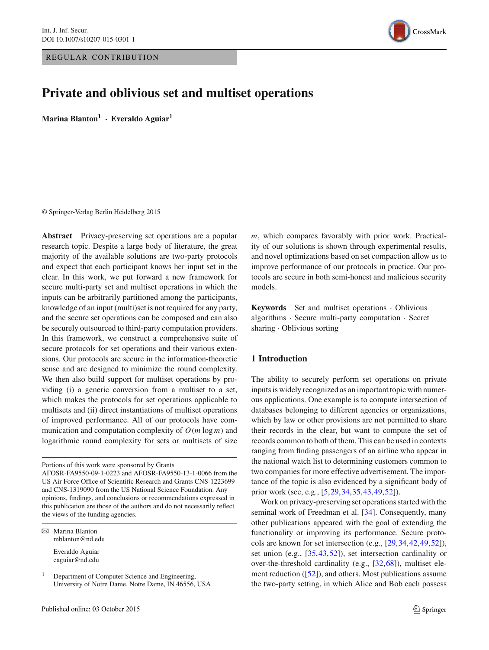### REGULAR CONTRIBUTION



# **Private and oblivious set and multiset operations**

**Marina Blanton1 · Everaldo Aguiar1**

© Springer-Verlag Berlin Heidelberg 2015

**Abstract** Privacy-preserving set operations are a popular research topic. Despite a large body of literature, the great majority of the available solutions are two-party protocols and expect that each participant knows her input set in the clear. In this work, we put forward a new framework for secure multi-party set and multiset operations in which the inputs can be arbitrarily partitioned among the participants, knowledge of an input (multi)set is not required for any party, and the secure set operations can be composed and can also be securely outsourced to third-party computation providers. In this framework, we construct a comprehensive suite of secure protocols for set operations and their various extensions. Our protocols are secure in the information-theoretic sense and are designed to minimize the round complexity. We then also build support for multiset operations by providing (i) a generic conversion from a multiset to a set, which makes the protocols for set operations applicable to multisets and (ii) direct instantiations of multiset operations of improved performance. All of our protocols have communication and computation complexity of *O*(*m* log *m*) and logarithmic round complexity for sets or multisets of size

Portions of this work were sponsored by Grants

AFOSR-FA9550-09-1-0223 and AFOSR-FA9550-13-1-0066 from the US Air Force Office of Scientific Research and Grants CNS-1223699 and CNS-1319090 from the US National Science Foundation. Any opinions, findings, and conclusions or recommendations expressed in this publication are those of the authors and do not necessarily reflect the views of the funding agencies.

 $\boxtimes$  Marina Blanton mblanton@nd.edu

> Everaldo Aguiar eaguiar@nd.edu

<sup>1</sup> Department of Computer Science and Engineering, University of Notre Dame, Notre Dame, IN 46556, USA *m*, which compares favorably with prior work. Practicality of our solutions is shown through experimental results, and novel optimizations based on set compaction allow us to improve performance of our protocols in practice. Our protocols are secure in both semi-honest and malicious security models.

**Keywords** Set and multiset operations · Oblivious algorithms · Secure multi-party computation · Secret sharing · Oblivious sorting

# **1 Introduction**

The ability to securely perform set operations on private inputs is widely recognized as an important topic with numerous applications. One example is to compute intersection of databases belonging to different agencies or organizations, which by law or other provisions are not permitted to share their records in the clear, but want to compute the set of records common to both of them. This can be used in contexts ranging from finding passengers of an airline who appear in the national watch list to determining customers common to two companies for more effective advertisement. The importance of the topic is also evidenced by a significant body of prior work (see, e.g., [\[5,](#page-24-0)[29](#page-25-0)[,34](#page-25-1)[,35](#page-25-2),[43](#page-25-3),[49,](#page-25-4)[52\]](#page-25-5)).

Work on privacy-preserving set operations started with the seminal work of Freedman et al. [\[34\]](#page-25-1). Consequently, many other publications appeared with the goal of extending the functionality or improving its performance. Secure protocols are known for set intersection (e.g., [\[29](#page-25-0)[,34](#page-25-1),[42,](#page-25-6)[49](#page-25-4)[,52](#page-25-5)]), set union (e.g., [\[35](#page-25-2)[,43](#page-25-3)[,52](#page-25-5)]), set intersection cardinality or over-the-threshold cardinality (e.g., [\[32](#page-25-7)[,68](#page-25-8)]), multiset element reduction ([\[52\]](#page-25-5)), and others. Most publications assume the two-party setting, in which Alice and Bob each possess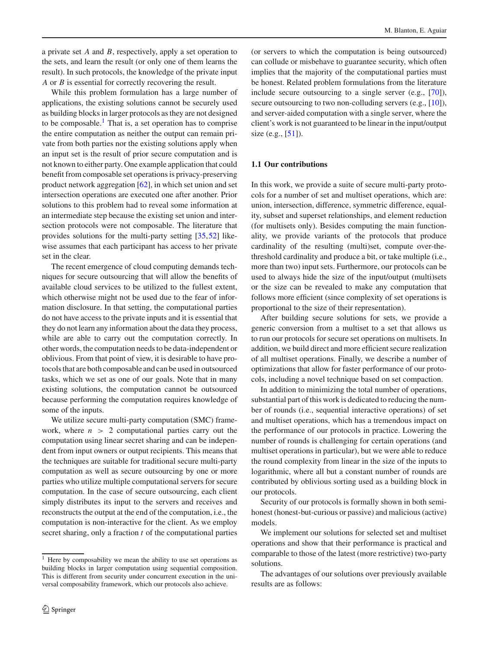a private set *A* and *B*, respectively, apply a set operation to the sets, and learn the result (or only one of them learns the result). In such protocols, the knowledge of the private input *A* or *B* is essential for correctly recovering the result.

While this problem formulation has a large number of applications, the existing solutions cannot be securely used as building blocks in larger protocols as they are not designed to be composable.<sup>1</sup> That is, a set operation has to comprise the entire computation as neither the output can remain private from both parties nor the existing solutions apply when an input set is the result of prior secure computation and is not known to either party. One example application that could benefit from composable set operations is privacy-preserving product network aggregation [\[62](#page-25-9)], in which set union and set intersection operations are executed one after another. Prior solutions to this problem had to reveal some information at an intermediate step because the existing set union and intersection protocols were not composable. The literature that provides solutions for the multi-party setting [\[35](#page-25-2)[,52](#page-25-5)] likewise assumes that each participant has access to her private set in the clear.

The recent emergence of cloud computing demands techniques for secure outsourcing that will allow the benefits of available cloud services to be utilized to the fullest extent, which otherwise might not be used due to the fear of information disclosure. In that setting, the computational parties do not have access to the private inputs and it is essential that they do not learn any information about the data they process, while are able to carry out the computation correctly. In other words, the computation needs to be data-independent or oblivious. From that point of view, it is desirable to have protocols that are both composable and can be used in outsourced tasks, which we set as one of our goals. Note that in many existing solutions, the computation cannot be outsourced because performing the computation requires knowledge of some of the inputs.

We utilize secure multi-party computation (SMC) framework, where  $n > 2$  computational parties carry out the computation using linear secret sharing and can be independent from input owners or output recipients. This means that the techniques are suitable for traditional secure multi-party computation as well as secure outsourcing by one or more parties who utilize multiple computational servers for secure computation. In the case of secure outsourcing, each client simply distributes its input to the servers and receives and reconstructs the output at the end of the computation, i.e., the computation is non-interactive for the client. As we employ secret sharing, only a fraction *t* of the computational parties (or servers to which the computation is being outsourced) can collude or misbehave to guarantee security, which often implies that the majority of the computational parties must be honest. Related problem formulations from the literature include secure outsourcing to a single server (e.g., [\[70](#page-25-10)]), secure outsourcing to two non-colluding servers (e.g., [\[10](#page-24-1)]), and server-aided computation with a single server, where the client's work is not guaranteed to be linear in the input/output size (e.g.,  $[51]$  $[51]$ ).

# **1.1 Our contributions**

In this work, we provide a suite of secure multi-party protocols for a number of set and multiset operations, which are: union, intersection, difference, symmetric difference, equality, subset and superset relationships, and element reduction (for multisets only). Besides computing the main functionality, we provide variants of the protocols that produce cardinality of the resulting (multi)set, compute over-thethreshold cardinality and produce a bit, or take multiple (i.e., more than two) input sets. Furthermore, our protocols can be used to always hide the size of the input/output (multi)sets or the size can be revealed to make any computation that follows more efficient (since complexity of set operations is proportional to the size of their representation).

After building secure solutions for sets, we provide a generic conversion from a multiset to a set that allows us to run our protocols for secure set operations on multisets. In addition, we build direct and more efficient secure realization of all multiset operations. Finally, we describe a number of optimizations that allow for faster performance of our protocols, including a novel technique based on set compaction.

In addition to minimizing the total number of operations, substantial part of this work is dedicated to reducing the number of rounds (i.e., sequential interactive operations) of set and multiset operations, which has a tremendous impact on the performance of our protocols in practice. Lowering the number of rounds is challenging for certain operations (and multiset operations in particular), but we were able to reduce the round complexity from linear in the size of the inputs to logarithmic, where all but a constant number of rounds are contributed by oblivious sorting used as a building block in our protocols.

Security of our protocols is formally shown in both semihonest (honest-but-curious or passive) and malicious (active) models.

We implement our solutions for selected set and multiset operations and show that their performance is practical and comparable to those of the latest (more restrictive) two-party solutions.

The advantages of our solutions over previously available results are as follows:

<span id="page-1-0"></span><sup>&</sup>lt;sup>1</sup> Here by composability we mean the ability to use set operations as building blocks in larger computation using sequential composition. This is different from security under concurrent execution in the universal composability framework, which our protocols also achieve.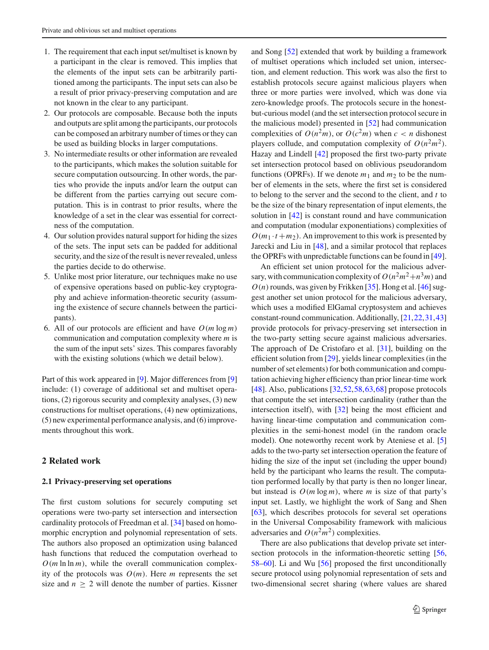- 1. The requirement that each input set/multiset is known by a participant in the clear is removed. This implies that the elements of the input sets can be arbitrarily partitioned among the participants. The input sets can also be a result of prior privacy-preserving computation and are not known in the clear to any participant.
- 2. Our protocols are composable. Because both the inputs and outputs are split among the participants, our protocols can be composed an arbitrary number of times or they can be used as building blocks in larger computations.
- 3. No intermediate results or other information are revealed to the participants, which makes the solution suitable for secure computation outsourcing. In other words, the parties who provide the inputs and/or learn the output can be different from the parties carrying out secure computation. This is in contrast to prior results, where the knowledge of a set in the clear was essential for correctness of the computation.
- 4. Our solution provides natural support for hiding the sizes of the sets. The input sets can be padded for additional security, and the size of the result is never revealed, unless the parties decide to do otherwise.
- 5. Unlike most prior literature, our techniques make no use of expensive operations based on public-key cryptography and achieve information-theoretic security (assuming the existence of secure channels between the participants).
- 6. All of our protocols are efficient and have  $O(m \log m)$ communication and computation complexity where *m* is the sum of the input sets' sizes. This compares favorably with the existing solutions (which we detail below).

Part of this work appeared in [\[9](#page-24-2)]. Major differences from [\[9\]](#page-24-2) include: (1) coverage of additional set and multiset operations, (2) rigorous security and complexity analyses, (3) new constructions for multiset operations, (4) new optimizations, (5) new experimental performance analysis, and (6) improvements throughout this work.

### **2 Related work**

#### **2.1 Privacy-preserving set operations**

The first custom solutions for securely computing set operations were two-party set intersection and intersection cardinality protocols of Freedman et al. [\[34](#page-25-1)] based on homomorphic encryption and polynomial representation of sets. The authors also proposed an optimization using balanced hash functions that reduced the computation overhead to  $O(m \ln \ln m)$ , while the overall communication complexity of the protocols was  $O(m)$ . Here *m* represents the set size and  $n \geq 2$  will denote the number of parties. Kissner and Song [\[52\]](#page-25-5) extended that work by building a framework of multiset operations which included set union, intersection, and element reduction. This work was also the first to establish protocols secure against malicious players when three or more parties were involved, which was done via zero-knowledge proofs. The protocols secure in the honestbut-curious model (and the set intersection protocol secure in the malicious model) presented in [\[52\]](#page-25-5) had communication complexities of  $O(n^2m)$ , or  $O(c^2m)$  when  $c < n$  dishonest players collude, and computation complexity of  $O(n^2m^2)$ . Hazay and Lindell [\[42\]](#page-25-6) proposed the first two-party private set intersection protocol based on oblivious pseudorandom functions (OPRFs). If we denote  $m_1$  and  $m_2$  to be the number of elements in the sets, where the first set is considered to belong to the server and the second to the client, and *t* to be the size of the binary representation of input elements, the solution in [\[42](#page-25-6)] is constant round and have communication and computation (modular exponentiations) complexities of  $O(m_1 \cdot t + m_2)$ . An improvement to this work is presented by Jarecki and Liu in [\[48\]](#page-25-12), and a similar protocol that replaces the OPRFs with unpredictable functions can be found in [\[49](#page-25-4)].

An efficient set union protocol for the malicious adversary, with communication complexity of  $O(n^2m^2+n^3m)$  and  $O(n)$  rounds, was given by Frikken [\[35\]](#page-25-2). Hong et al. [\[46](#page-25-13)] suggest another set union protocol for the malicious adversary, which uses a modified ElGamal cryptosystem and achieves constant-round communication. Additionally, [\[21](#page-24-3),[22](#page-24-4),[31,](#page-25-14)[43\]](#page-25-3) provide protocols for privacy-preserving set intersection in the two-party setting secure against malicious adversaries. The approach of De Cristofaro et al. [\[31\]](#page-25-14), building on the efficient solution from [\[29\]](#page-25-0), yields linear complexities (in the number of set elements) for both communication and computation achieving higher efficiency than prior linear-time work [\[48](#page-25-12)]. Also, publications [\[32](#page-25-7)[,52](#page-25-5),[58,](#page-25-15)[63,](#page-25-16)[68\]](#page-25-8) propose protocols that compute the set intersection cardinality (rather than the intersection itself), with [\[32](#page-25-7)] being the most efficient and having linear-time computation and communication complexities in the semi-honest model (in the random oracle model). One noteworthy recent work by Ateniese et al. [\[5\]](#page-24-0) adds to the two-party set intersection operation the feature of hiding the size of the input set (including the upper bound) held by the participant who learns the result. The computation performed locally by that party is then no longer linear, but instead is  $O(m \log m)$ , where *m* is size of that party's input set. Lastly, we highlight the work of Sang and Shen [\[63](#page-25-16)], which describes protocols for several set operations in the Universal Composability framework with malicious adversaries and  $O(n^2m^2)$  complexities.

There are also publications that develop private set inter-section protocols in the information-theoretic setting [\[56,](#page-25-17) [58](#page-25-15)[–60](#page-25-18)]. Li and Wu [\[56\]](#page-25-17) proposed the first unconditionally secure protocol using polynomial representation of sets and two-dimensional secret sharing (where values are shared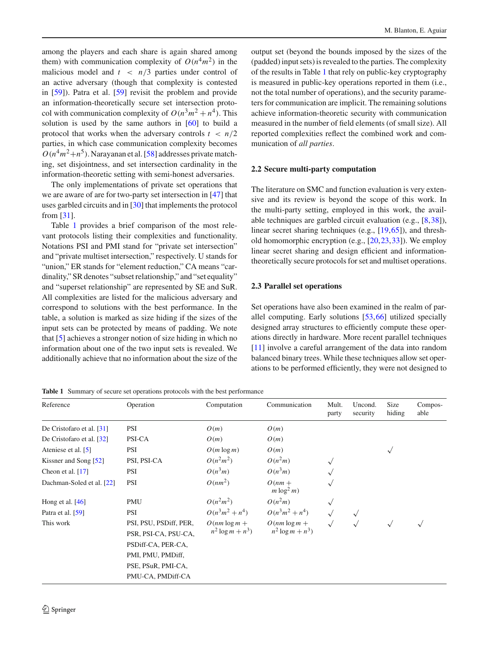among the players and each share is again shared among them) with communication complexity of  $O(n^4m^2)$  in the malicious model and  $t < n/3$  parties under control of an active adversary (though that complexity is contested in [\[59](#page-25-19)]). Patra et al. [\[59](#page-25-19)] revisit the problem and provide an information-theoretically secure set intersection protocol with communication complexity of  $O(n^3m^2 + n^4)$ . This solution is used by the same authors in [\[60](#page-25-18)] to build a protocol that works when the adversary controls  $t < n/2$ parties, in which case communication complexity becomes  $O(n^4m^2+n^5)$ . Narayanan et al. [\[58](#page-25-15)] addresses private matching, set disjointness, and set intersection cardinality in the information-theoretic setting with semi-honest adversaries.

The only implementations of private set operations that we are aware of are for two-party set intersection in [\[47\]](#page-25-20) that uses garbled circuits and in [\[30\]](#page-25-21) that implements the protocol from [\[31](#page-25-14)].

Table [1](#page-3-0) provides a brief comparison of the most relevant protocols listing their complexities and functionality. Notations PSI and PMI stand for "private set intersection" and "private multiset intersection," respectively. U stands for "union," ER stands for "element reduction," CA means "cardinality," SR denotes "subset relationship," and "set equality" and "superset relationship" are represented by SE and SuR. All complexities are listed for the malicious adversary and correspond to solutions with the best performance. In the table, a solution is marked as size hiding if the sizes of the input sets can be protected by means of padding. We note that [\[5](#page-24-0)] achieves a stronger notion of size hiding in which no information about one of the two input sets is revealed. We additionally achieve that no information about the size of the output set (beyond the bounds imposed by the sizes of the (padded) input sets) is revealed to the parties. The complexity of the results in Table [1](#page-3-0) that rely on public-key cryptography is measured in public-key operations reported in them (i.e., not the total number of operations), and the security parameters for communication are implicit. The remaining solutions achieve information-theoretic security with communication measured in the number of field elements (of small size). All reported complexities reflect the combined work and communication of *all parties*.

## **2.2 Secure multi-party computation**

The literature on SMC and function evaluation is very extensive and its review is beyond the scope of this work. In the multi-party setting, employed in this work, the available techniques are garbled circuit evaluation (e.g., [\[8](#page-24-5)[,38](#page-25-22)]), linear secret sharing techniques (e.g., [\[19](#page-24-6),[65\]](#page-25-23)), and threshold homomorphic encryption (e.g., [\[20](#page-24-7)[,23](#page-24-8)[,33](#page-25-24)]). We employ linear secret sharing and design efficient and informationtheoretically secure protocols for set and multiset operations.

#### **2.3 Parallel set operations**

Set operations have also been examined in the realm of parallel computing. Early solutions [\[53,](#page-25-25)[66\]](#page-25-26) utilized specially designed array structures to efficiently compute these operations directly in hardware. More recent parallel techniques [\[11](#page-24-9)] involve a careful arrangement of the data into random balanced binary trees. While these techniques allow set operations to be performed efficiently, they were not designed to

**Table 1** Summary of secure set operations protocols with the best performance

<span id="page-3-0"></span>

| Reference                 | Operation              | Computation        | Communication            | Mult.<br>party | Uncond.<br>security | Size<br>hiding | Compos-<br>able |
|---------------------------|------------------------|--------------------|--------------------------|----------------|---------------------|----------------|-----------------|
| De Cristofaro et al. [31] | <b>PSI</b>             | O(m)               | O(m)                     |                |                     |                |                 |
| De Cristofaro et al. [32] | <b>PSI-CA</b>          | O(m)               | O(m)                     |                |                     |                |                 |
| Ateniese et al. [5]       | <b>PSI</b>             | $O(m \log m)$      | O(m)                     |                |                     | $\checkmark$   |                 |
| Kissner and Song [52]     | PSI, PSI-CA            | $O(n^2m^2)$        | $O(n^2m)$                | $\checkmark$   |                     |                |                 |
| Cheon et al. $[17]$       | <b>PSI</b>             | $O(n^3m)$          | $O(n^3m)$                |                |                     |                |                 |
| Dachman-Soled et al. [22] | <b>PSI</b>             | $O(nm^2)$          | $O(nm +$<br>$m \log^2 m$ |                |                     |                |                 |
| Hong et al. $[46]$        | <b>PMU</b>             | $O(n^2m^2)$        | $O(n^2m)$                | $\checkmark$   |                     |                |                 |
| Patra et al. $[59]$       | <b>PSI</b>             | $O(n^3m^2 + n^4)$  | $O(n^3m^2 + n^4)$        |                |                     |                |                 |
| This work                 | PSI, PSU, PSDiff, PER, | $O(nm \log m +$    | $O(nm \log m +$          |                |                     |                |                 |
|                           | PSR, PSI-CA, PSU-CA,   | $n^2 \log m + n^3$ | $n^2 \log m + n^3$       |                |                     |                |                 |
|                           | PSDiff-CA, PER-CA,     |                    |                          |                |                     |                |                 |
|                           | PMI, PMU, PMDiff,      |                    |                          |                |                     |                |                 |
|                           | PSE, PSuR, PMI-CA,     |                    |                          |                |                     |                |                 |
|                           | PMU-CA, PMDiff-CA      |                    |                          |                |                     |                |                 |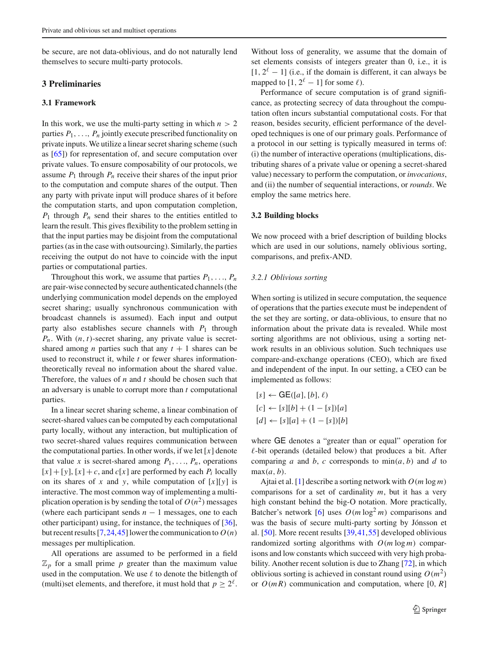be secure, are not data-oblivious, and do not naturally lend themselves to secure multi-party protocols.

# **3 Preliminaries**

# **3.1 Framework**

In this work, we use the multi-party setting in which  $n > 2$ parties  $P_1, \ldots, P_n$  jointly execute prescribed functionality on private inputs. We utilize a linear secret sharing scheme (such as [\[65\]](#page-25-23)) for representation of, and secure computation over private values. To ensure composability of our protocols, we assume  $P_1$  through  $P_n$  receive their shares of the input prior to the computation and compute shares of the output. Then any party with private input will produce shares of it before the computation starts, and upon computation completion,  $P_1$  through  $P_n$  send their shares to the entities entitled to learn the result. This gives flexibility to the problem setting in that the input parties may be disjoint from the computational parties (as in the case with outsourcing). Similarly, the parties receiving the output do not have to coincide with the input parties or computational parties.

Throughout this work, we assume that parties  $P_1, \ldots, P_n$ are pair-wise connected by secure authenticated channels (the underlying communication model depends on the employed secret sharing; usually synchronous communication with broadcast channels is assumed). Each input and output party also establishes secure channels with  $P_1$  through  $P_n$ . With  $(n, t)$ -secret sharing, any private value is secretshared among *n* parties such that any  $t + 1$  shares can be used to reconstruct it, while *t* or fewer shares informationtheoretically reveal no information about the shared value. Therefore, the values of *n* and *t* should be chosen such that an adversary is unable to corrupt more than *t* computational parties.

In a linear secret sharing scheme, a linear combination of secret-shared values can be computed by each computational party locally, without any interaction, but multiplication of two secret-shared values requires communication between the computational parties. In other words, if we let  $[x]$  denote that value *x* is secret-shared among  $P_1, \ldots, P_n$ , operations  $[x] + [y]$ ,  $[x] + c$ , and  $c[x]$  are performed by each  $P_i$  locally on its shares of *x* and *y*, while computation of [*x*][*y*] is interactive. The most common way of implementing a multiplication operation is by sending the total of  $O(n^2)$  messages (where each participant sends  $n - 1$  messages, one to each other participant) using, for instance, the techniques of [\[36](#page-25-27)], but recent results  $[7,24,45]$  $[7,24,45]$  $[7,24,45]$  $[7,24,45]$  lower the communication to  $O(n)$ messages per multiplication.

All operations are assumed to be performed in a field  $\mathbb{Z}_p$  for a small prime *p* greater than the maximum value used in the computation. We use  $\ell$  to denote the bitlength of (multi)set elements, and therefore, it must hold that  $p \geq 2^{\ell}$ .

Without loss of generality, we assume that the domain of set elements consists of integers greater than 0, i.e., it is  $[1, 2^{\ell} - 1]$  (i.e., if the domain is different, it can always be mapped to [1,  $2^{\ell} - 1$ ] for some  $\ell$ ).

Performance of secure computation is of grand significance, as protecting secrecy of data throughout the computation often incurs substantial computational costs. For that reason, besides security, efficient performance of the developed techniques is one of our primary goals. Performance of a protocol in our setting is typically measured in terms of: (i) the number of interactive operations (multiplications, distributing shares of a private value or opening a secret-shared value) necessary to perform the computation, or *invocations*, and (ii) the number of sequential interactions, or *rounds*. We employ the same metrics here.

# <span id="page-4-0"></span>**3.2 Building blocks**

We now proceed with a brief description of building blocks which are used in our solutions, namely oblivious sorting, comparisons, and prefix-AND.

# *3.2.1 Oblivious sorting*

When sorting is utilized in secure computation, the sequence of operations that the parties execute must be independent of the set they are sorting, or data-oblivious, to ensure that no information about the private data is revealed. While most sorting algorithms are not oblivious, using a sorting network results in an oblivious solution. Such techniques use compare-and-exchange operations (CEO), which are fixed and independent of the input. In our setting, a CEO can be implemented as follows:

$$
[s] \leftarrow \text{GE}([a], [b], \ell)
$$

$$
[c] \leftarrow [s][b] + (1 - [s])[a]
$$

$$
[d] \leftarrow [s][a] + (1 - [s])[b]
$$

where GE denotes a "greater than or equal" operation for --bit operands (detailed below) that produces a bit. After comparing *a* and *b*, *c* corresponds to  $\min(a, b)$  and *d* to  $max(a, b)$ .

Ajtai et al. [\[1\]](#page-24-13) describe a sorting network with *O*(*m* log *m*) comparisons for a set of cardinality *m*, but it has a very high constant behind the big-O notation. More practically, Batcher's network [\[6](#page-24-14)] uses  $O(m \log^2 m)$  comparisons and was the basis of secure multi-party sorting by Jónsson et al. [\[50\]](#page-25-29). More recent results [\[39](#page-25-30),[41](#page-25-31),[55\]](#page-25-32) developed oblivious randomized sorting algorithms with  $O(m \log m)$  comparisons and low constants which succeed with very high probability. Another recent solution is due to Zhang [\[72](#page-25-33)], in which oblivious sorting is achieved in constant round using  $O(m^2)$ or  $O(mR)$  communication and computation, where [0, R]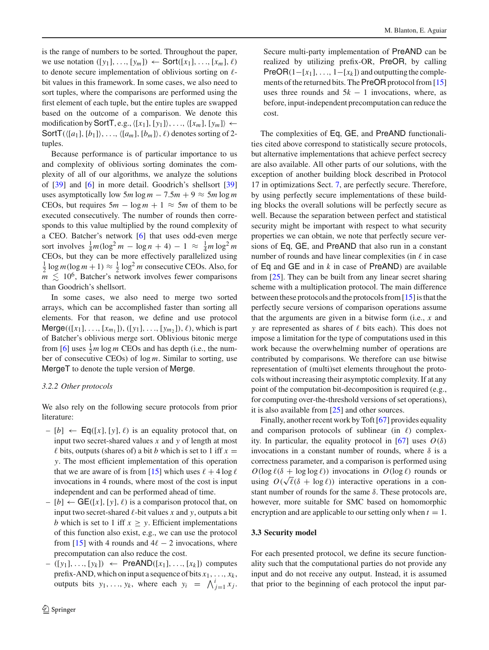is the range of numbers to be sorted. Throughout the paper, we use notation  $([y_1], ..., [y_m]) \leftarrow \text{Sort}([x_1], ..., [x_m], \ell)$ to denote secure implementation of oblivious sorting on  $\ell$ bit values in this framework. In some cases, we also need to sort tuples, where the comparisons are performed using the first element of each tuple, but the entire tuples are swapped based on the outcome of a comparison. We denote this modification by SortT, e.g.,  $\langle [x_1], [y_1] \rangle, \ldots, \langle [x_m], [y_m] \rangle \leftarrow$ SortT( $\langle [a_1], [b_1] \rangle, \ldots, \langle [a_m], [b_m] \rangle, \ell$ ) denotes sorting of 2tuples.

Because performance is of particular importance to us and complexity of oblivious sorting dominates the complexity of all of our algorithms, we analyze the solutions of [\[39](#page-25-30)] and [\[6\]](#page-24-14) in more detail. Goodrich's shellsort [\[39\]](#page-25-30) uses asymptotically low  $5m \log m - 7.5m + 9 \approx 5m \log m$ CEOs, but requires  $5m - \log m + 1 \approx 5m$  of them to be executed consecutively. The number of rounds then corresponds to this value multiplied by the round complexity of a CEO. Batcher's network [\[6](#page-24-14)] that uses odd-even merge sort involves  $\frac{1}{4}m(\log^2 m - \log n + 4) - 1 \approx \frac{1}{4}m \log^2 m$ CEOs, but they can be more effectively parallelized using  $\frac{1}{2} \log m (\log m + 1) \approx \frac{1}{2} \log^2 m$  consecutive CEOs. Also, for  $m \lesssim 10^6$ , Batcher's network involves fewer comparisons than Goodrich's shellsort.

In some cases, we also need to merge two sorted arrays, which can be accomplished faster than sorting all elements. For that reason, we define and use protocol  $\text{Merge}(([x_1], \ldots, [x_{m_1}]), ([y_1], \ldots, [y_{m_2}]), \ell), \text{ which is part}$ of Batcher's oblivious merge sort. Oblivious bitonic merge from [\[6](#page-24-14)] uses  $\frac{1}{2}m \log m$  CEOs and has depth (i.e., the number of consecutive CEOs) of log *m*. Similar to sorting, use MergeT to denote the tuple version of Merge.

#### *3.2.2 Other protocols*

We also rely on the following secure protocols from prior literature:

- $-[b] \leftarrow \textsf{Eq}([x], [y], \ell)$  is an equality protocol that, on input two secret-shared values *x* and *y* of length at most  $\ell$  bits, outputs (shares of) a bit *b* which is set to 1 iff  $x =$ *y*. The most efficient implementation of this operation that we are aware of is from [\[15\]](#page-24-15) which uses  $\ell + 4 \log \ell$ invocations in 4 rounds, where most of the cost is input independent and can be performed ahead of time.
- $-$  [*b*] ← **GE**([*x*], [*y*],  $\ell$ ) is a comparison protocol that, on input two secret-shared  $\ell$ -bit values x and y, outputs a bit *b* which is set to 1 iff  $x \geq y$ . Efficient implementations of this function also exist, e.g., we can use the protocol from [\[15\]](#page-24-15) with 4 rounds and  $4\ell - 2$  invocations, where precomputation can also reduce the cost.
- ([*y*1], . . .,[*yk* ]) ← PreAND([*x*1], . . .,[*xk* ]) computes prefix-AND, which on input a sequence of bits  $x_1, \ldots, x_k$ , outputs bits  $y_1, \ldots, y_k$ , where each  $y_i = \bigwedge_{j=1}^i x_j$ .

Secure multi-party implementation of PreAND can be realized by utilizing prefix-OR, PreOR, by calling PreOR $(1-[x_1], \ldots, 1-[x_k])$  and outputting the complements of the returned bits. The PreOR protocol from  $[15]$ uses three rounds and  $5k - 1$  invocations, where, as before, input-independent precomputation can reduce the cost.

The complexities of Eq, GE, and PreAND functionalities cited above correspond to statistically secure protocols, but alternative implementations that achieve perfect secrecy are also available. All other parts of our solutions, with the exception of another building block described in Protocol 17 in optimizations Sect. [7,](#page-18-0) are perfectly secure. Therefore, by using perfectly secure implementations of these building blocks the overall solutions will be perfectly secure as well. Because the separation between perfect and statistical security might be important with respect to what security properties we can obtain, we note that perfectly secure versions of Eq, GE, and PreAND that also run in a constant number of rounds and have linear complexities (in  $\ell$  in case of Eq and GE and in *k* in case of PreAND) are available from [\[25\]](#page-24-16). They can be built from any linear secret sharing scheme with a multiplication protocol. The main difference between these protocols and the protocols from [\[15\]](#page-24-15) is that the perfectly secure versions of comparison operations assume that the arguments are given in a bitwise form (i.e., *x* and *y* are represented as shares of  $\ell$  bits each). This does not impose a limitation for the type of computations used in this work because the overwhelming number of operations are contributed by comparisons. We therefore can use bitwise representation of (multi)set elements throughout the protocols without increasing their asymptotic complexity. If at any point of the computation bit-decomposition is required (e.g., for computing over-the-threshold versions of set operations), it is also available from [\[25](#page-24-16)] and other sources.

Finally, another recent work by Toft [\[67](#page-25-34)] provides equality and comparison protocols of sublinear (in  $\ell$ ) complexity. In particular, the equality protocol in  $[67]$  uses  $O(\delta)$ invocations in a constant number of rounds, where  $\delta$  is a correctness parameter, and a comparison is performed using  $O(\log \ell(\delta + \log \log \ell))$  invocations in  $O(\log \ell)$  rounds or using  $O(\sqrt{\ell}(\delta + \log \ell))$  interactive operations in a constant number of rounds for the same  $\delta$ . These protocols are, however, more suitable for SMC based on homomorphic encryption and are applicable to our setting only when  $t = 1$ .

# **3.3 Security model**

For each presented protocol, we define its secure functionality such that the computational parties do not provide any input and do not receive any output. Instead, it is assumed that prior to the beginning of each protocol the input par-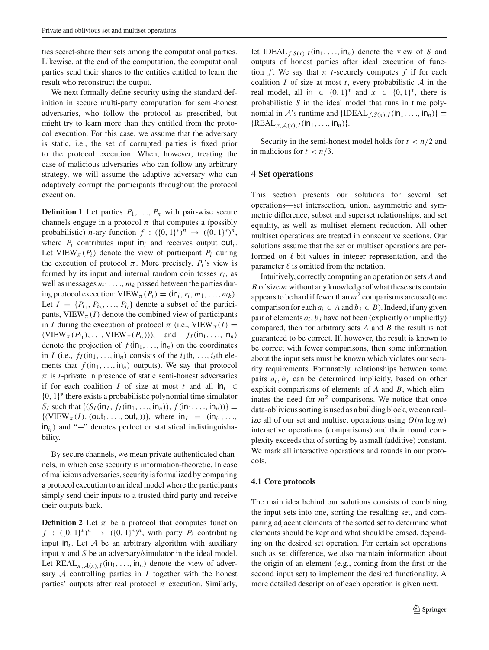ties secret-share their sets among the computational parties. Likewise, at the end of the computation, the computational parties send their shares to the entities entitled to learn the result who reconstruct the output.

We next formally define security using the standard definition in secure multi-party computation for semi-honest adversaries, who follow the protocol as prescribed, but might try to learn more than they entitled from the protocol execution. For this case, we assume that the adversary is static, i.e., the set of corrupted parties is fixed prior to the protocol execution. When, however, treating the case of malicious adversaries who can follow any arbitrary strategy, we will assume the adaptive adversary who can adaptively corrupt the participants throughout the protocol execution.

<span id="page-6-1"></span>**Definition 1** Let parties  $P_1, \ldots, P_n$  with pair-wise secure channels engage in a protocol  $\pi$  that computes a (possibly probabilistic) *n*-ary function  $f : (\{0, 1\}^*)^n \rightarrow (\{0, 1\}^*)^n$ , where  $P_i$  contributes input  $\text{in}_i$  and receives output  $\text{out}_i$ . Let VIEW<sub> $\pi$ </sub>( $P_i$ ) denote the view of participant  $P_i$  during the execution of protocol  $\pi$ . More precisely,  $P_i$ 's view is formed by its input and internal random coin tosses  $r_i$ , as well as messages  $m_1, \ldots, m_k$  passed between the parties during protocol execution:  $VIEW_{\pi}(P_i) = (in_i, r_i, m_1, \ldots, m_k).$ Let  $I = \{P_{i_1}, P_{i_2}, \ldots, P_{i_t}\}\$  denote a subset of the participants, VIEW $_{\pi}(I)$  denote the combined view of participants in *I* during the execution of protocol  $\pi$  (i.e., VIEW $_{\pi}(I)$ ) =  $(VIEW_{\pi}(P_{i_1}), \ldots, VIEW_{\pi}(P_{i_r})))$ , and  $f_I(\text{in}_1, \ldots, \text{in}_n)$ denote the projection of  $f$  (in<sub>1</sub>, ..., in<sub>n</sub>) on the coordinates in *I* (i.e.,  $f_I$ (in<sub>1</sub>, ..., in<sub>n</sub>) consists of the  $i_1$ th, ...,  $i_t$ th elements that  $f(\text{in}_1, ..., \text{in}_n)$  outputs). We say that protocol  $\pi$  is *t*-private in presence of static semi-honest adversaries if for each coalition *I* of size at most *t* and all  $in_i \in$ {0, 1}<sup>∗</sup> there exists a probabilistic polynomial time simulator *SI* such that  $\{(S_I(\text{in}_I, f_I(\text{in}_1, ..., \text{in}_n)), f(\text{in}_1, ..., \text{in}_n))\}\equiv$  $\{(\text{VIEW}_{\pi}(I), (\text{out}_1, ..., \text{out}_n))\}, \text{ where } \text{in}_I = (\text{in}_{i_1}, ..., \text{in}_{i_n})\}$  $in_{i}$ ) and "≡" denotes perfect or statistical indistinguishability.

By secure channels, we mean private authenticated channels, in which case security is information-theoretic. In case of malicious adversaries, security is formalized by comparing a protocol execution to an ideal model where the participants simply send their inputs to a trusted third party and receive their outputs back.

**Definition 2** Let  $\pi$  be a protocol that computes function  $f : ((0, 1)^*)^n \rightarrow ((0, 1)^*)^n$ , with party  $P_i$  contributing input in<sub>i</sub>. Let  $\mathcal A$  be an arbitrary algorithm with auxiliary input *x* and *S* be an adversary/simulator in the ideal model. Let  $REAL_{\pi,\mathcal{A}(x),I}(\text{in}_1, \ldots, \text{in}_n)$  denote the view of adversary *A* controlling parties in *I* together with the honest parties' outputs after real protocol  $\pi$  execution. Similarly, let IDEAL  $f, S(x)$ ,  $I$  (in<sub>1</sub>, ..., in<sub>n</sub>) denote the view of *S* and outputs of honest parties after ideal execution of function *f*. We say that  $\pi$  *t*-securely computes *f* if for each coalition *I* of size at most *t*, every probabilistic *A* in the real model, all in  $\in \{0, 1\}^*$  and  $x \in \{0, 1\}^*$ , there is probabilistic *S* in the ideal model that runs in time polynomial in *A*'s runtime and  $\{IDEAL_{f,S(x), I}(in_1, ..., in_n)\}\equiv$  ${REAL_{\pi,A(x),I}(in_1, ..., in_n)}.$ 

Security in the semi-honest model holds for  $t < n/2$  and in malicious for  $t < n/3$ .

#### **4 Set operations**

This section presents our solutions for several set operations—set intersection, union, asymmetric and symmetric difference, subset and superset relationships, and set equality, as well as multiset element reduction. All other multiset operations are treated in consecutive sections. Our solutions assume that the set or multiset operations are performed on  $\ell$ -bit values in integer representation, and the parameter  $\ell$  is omitted from the notation.

Intuitively, correctly computing an operation on sets *A* and *B* of size *m* without any knowledge of what these sets contain appears to be hard if fewer than  $m^2$  comparisons are used (one comparison for each  $a_i \in A$  and  $b_j \in B$ ). Indeed, if any given pair of elements  $a_i$ ,  $b_j$  have not been (explicitly or implicitly) compared, then for arbitrary sets *A* and *B* the result is not guaranteed to be correct. If, however, the result is known to be correct with fewer comparisons, then some information about the input sets must be known which violates our security requirements. Fortunately, relationships between some pairs  $a_i$ ,  $b_j$  can be determined implicitly, based on other explicit comparisons of elements of *A* and *B*, which eliminates the need for  $m^2$  comparisons. We notice that once data-oblivious sorting is used as a building block, we can realize all of our set and multiset operations using  $O(m \log m)$ interactive operations (comparisons) and their round complexity exceeds that of sorting by a small (additive) constant. We mark all interactive operations and rounds in our protocols.

#### <span id="page-6-0"></span>**4.1 Core protocols**

The main idea behind our solutions consists of combining the input sets into one, sorting the resulting set, and comparing adjacent elements of the sorted set to determine what elements should be kept and what should be erased, depending on the desired set operation. For certain set operations such as set difference, we also maintain information about the origin of an element (e.g., coming from the first or the second input set) to implement the desired functionality. A more detailed description of each operation is given next.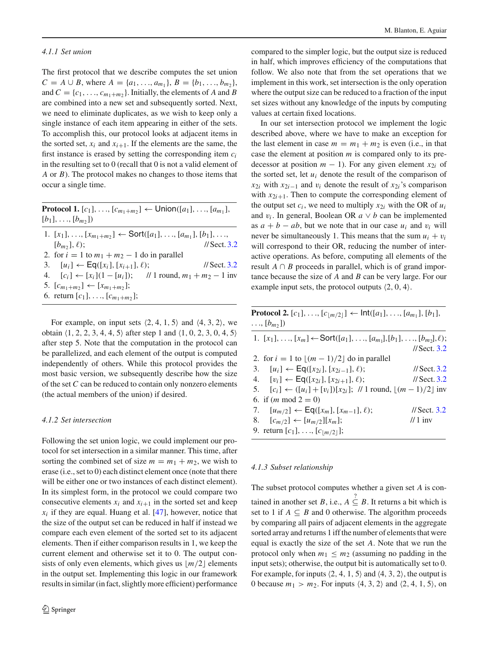#### *4.1.1 Set union*

The first protocol that we describe computes the set union  $C = A \cup B$ , where  $A = \{a_1, \ldots, a_{m_1}\}, B = \{b_1, \ldots, b_{m_2}\},\$ and  $C = \{c_1, \ldots, c_{m_1+m_2}\}\.$  Initially, the elements of *A* and *B* are combined into a new set and subsequently sorted. Next, we need to eliminate duplicates, as we wish to keep only a single instance of each item appearing in either of the sets. To accomplish this, our protocol looks at adjacent items in the sorted set,  $x_i$  and  $x_{i+1}$ . If the elements are the same, the first instance is erased by setting the corresponding item *ci* in the resulting set to 0 (recall that 0 is not a valid element of *A* or *B*). The protocol makes no changes to those items that occur a single time.

| <b>Protocol 1.</b> $[c_1], \ldots, [c_{m_1+m_2}] \leftarrow$ Union( $[a_1], \ldots, [a_{m_1}],$ |                                                                          |
|-------------------------------------------------------------------------------------------------|--------------------------------------------------------------------------|
| $[b_1], \ldots, [b_m]$                                                                          |                                                                          |
| 1. $[x_1], \ldots, [x_{m_1+m_2}] \leftarrow$ Sort $([a_1], \ldots, [a_{m_1}], [b_1], \ldots,$   |                                                                          |
| $[b_{m}$ , $], \ell);$                                                                          | $\sqrt{l}$ Sect. 3.2                                                     |
| 2. for $i = 1$ to $m_1 + m_2 - 1$ do in parallel                                                |                                                                          |
| 3. $[u_i] \leftarrow Eq([x_i], [x_{i+1}], \ell);$                                               | $\textit{II}$ Sect. 3.2                                                  |
|                                                                                                 | 4. $[c_i] \leftarrow [x_i](1 - [u_i])$ ; // 1 round, $m_1 + m_2 - 1$ inv |
| 5. $[c_{m_1+m_2}] \leftarrow [x_{m_1+m_2}]$ ;                                                   |                                                                          |
| 6. return $[c_1], \ldots, [c_{m_1+m_2}];$                                                       |                                                                          |

For example, on input sets  $(2, 4, 1, 5)$  and  $(4, 3, 2)$ , we obtain  $\langle 1, 2, 2, 3, 4, 4, 5 \rangle$  after step 1 and  $\langle 1, 0, 2, 3, 0, 4, 5 \rangle$ after step 5. Note that the computation in the protocol can be parallelized, and each element of the output is computed independently of others. While this protocol provides the most basic version, we subsequently describe how the size of the set *C* can be reduced to contain only nonzero elements (the actual members of the union) if desired.

### *4.1.2 Set intersection*

Following the set union logic, we could implement our protocol for set intersection in a similar manner. This time, after sorting the combined set of size  $m = m_1 + m_2$ , we wish to erase (i.e., set to 0) each distinct element once (note that there will be either one or two instances of each distinct element). In its simplest form, in the protocol we could compare two consecutive elements  $x_i$  and  $x_{i+1}$  in the sorted set and keep  $x_i$  if they are equal. Huang et al.  $[47]$  $[47]$ , however, notice that the size of the output set can be reduced in half if instead we compare each even element of the sorted set to its adjacent elements. Then if either comparison results in 1, we keep the current element and otherwise set it to 0. The output consists of only even elements, which gives us  $\lfloor m/2 \rfloor$  elements in the output set. Implementing this logic in our framework results in similar (in fact, slightly more efficient) performance compared to the simpler logic, but the output size is reduced in half, which improves efficiency of the computations that follow. We also note that from the set operations that we implement in this work, set intersection is the only operation where the output size can be reduced to a fraction of the input set sizes without any knowledge of the inputs by computing values at certain fixed locations.

In our set intersection protocol we implement the logic described above, where we have to make an exception for the last element in case  $m = m_1 + m_2$  is even (i.e., in that case the element at position *m* is compared only to its predecessor at position  $m - 1$ ). For any given element  $x_{2i}$  of the sorted set, let  $u_i$  denote the result of the comparison of *x*<sub>2*i*</sub> with *x*<sub>2*i*</sub> −1 and *v<sub>i</sub>* denote the result of *x*<sub>2*i*</sub>'s comparison with  $x_{2i+1}$ . Then to compute the corresponding element of the output set  $c_i$ , we need to multiply  $x_{2i}$  with the OR of  $u_i$ and  $v_i$ . In general, Boolean OR  $a \vee b$  can be implemented as  $a + b - ab$ , but we note that in our case  $u_i$  and  $v_i$  will never be simultaneously 1. This means that the sum  $u_i + v_i$ will correspond to their OR, reducing the number of interactive operations. As before, computing all elements of the result  $A \cap B$  proceeds in parallel, which is of grand importance because the size of *A* and *B* can be very large. For our example input sets, the protocol outputs  $\langle 2, 0, 4 \rangle$ .

| <b>Protocol 2.</b> $[c_1], \ldots, [c_{ m/2 }] \leftarrow \text{Int}([a_1], \ldots, [a_{m_1}], [b_1],$<br>, $[b_{m_2}])$ |                         |
|--------------------------------------------------------------------------------------------------------------------------|-------------------------|
| 1. $[x_1], \ldots, [x_m] \leftarrow Sort([a_1], \ldots, [a_{m_1}], [b_1], \ldots, [b_{m_2}], \ell);$                     |                         |
|                                                                                                                          | $\textit{II}$ Sect. 3.2 |
| 2. for $i = 1$ to $\lfloor (m-1)/2 \rfloor$ do in parallel                                                               |                         |
| 3. $[u_i] \leftarrow \textsf{Eq}([x_{2i}], [x_{2i-1}], \ell);$                                                           | $\textit{II}$ Sect. 3.2 |
| 4. $[v_i] \leftarrow \textsf{Eq}([x_{2i}], [x_{2i+1}], \ell);$                                                           | // Sect. $3.2$          |
| 5. $[c_i] \leftarrow ([u_i] + [v_i])[x_{2i}];$ // 1 round, $\lfloor (m-1)/2 \rfloor$ inv                                 |                         |
| 6. if $(m \mod 2 = 0)$                                                                                                   |                         |
| $[u_{m/2}] \leftarrow \textsf{Eq}([x_m], [x_{m-1}], \ell);$<br>7.                                                        | $\textit{II}$ Sect. 3.2 |
| $[c_{m/2}] \leftarrow [u_{m/2}][x_m];$<br>8.                                                                             | $/1$ inv                |
| 9. return $[c_1], \ldots, [c_{ m/2 }];$                                                                                  |                         |

#### *4.1.3 Subset relationship*

The subset protocol computes whether a given set *A* is contained in another set *B*, i.e.,  $A \subseteq B$ . It returns a bit which is set to 1 if  $A \subseteq B$  and 0 otherwise. The algorithm proceeds by comparing all pairs of adjacent elements in the aggregate sorted array and returns 1 iff the number of elements that were equal is exactly the size of the set *A*. Note that we run the protocol only when  $m_1 \leq m_2$  (assuming no padding in the input sets); otherwise, the output bit is automatically set to 0. For example, for inputs  $\langle 2, 4, 1, 5 \rangle$  and  $\langle 4, 3, 2 \rangle$ , the output is 0 because  $m_1 > m_2$ . For inputs  $(4, 3, 2)$  and  $(2, 4, 1, 5)$ , on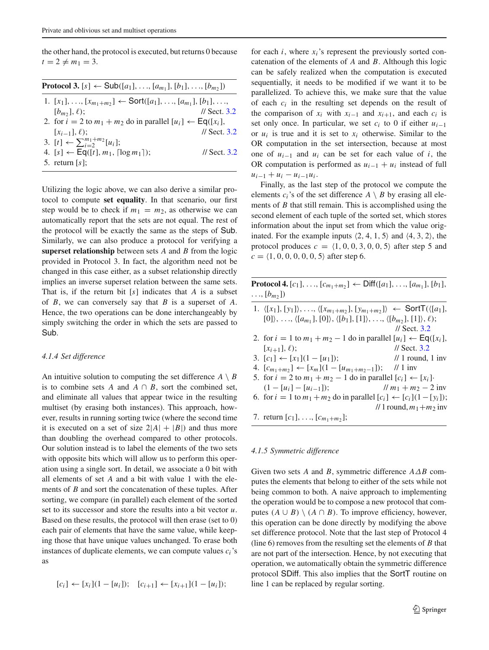the other hand, the protocol is executed, but returns 0 because  $t = 2 \neq m_1 = 3.$ 

| <b>Protocol 3.</b> $[s] \leftarrow Sub([a_1], , [a_{m_1}], [b_1], , [b_{m_2}])$               |                                         |  |
|-----------------------------------------------------------------------------------------------|-----------------------------------------|--|
| 1. $[x_1], \ldots, [x_{m_1+m_2}] \leftarrow$ Sort $([a_1], \ldots, [a_{m_1}], [b_1], \ldots,$ |                                         |  |
| $[b_{m_2}], \ell);$                                                                           | $\frac{\textit{1}}{\text{Sect.}}$ 3.2   |  |
| 2. for $i = 2$ to $m_1 + m_2$ do in parallel $[u_i] \leftarrow \textsf{Eq}([x_i],$            |                                         |  |
| $[x_{i-1}], \ell$ :                                                                           | $\frac{\textit{II} \text{ Sect.}}{3.2}$ |  |
| 3. $[t] \leftarrow \sum_{i=2}^{m_1+m_2} [u_i];$                                               |                                         |  |
| 4. $[s] \leftarrow \textsf{Eq}([t], m_1, \lceil \log m_1 \rceil);$                            | $\textit{II}$ Sect. 3.2                 |  |
| 5. return $[s]$ :                                                                             |                                         |  |

Utilizing the logic above, we can also derive a similar protocol to compute **set equality**. In that scenario, our first step would be to check if  $m_1 = m_2$ , as otherwise we can automatically report that the sets are not equal. The rest of the protocol will be exactly the same as the steps of Sub. Similarly, we can also produce a protocol for verifying a **superset relationship** between sets *A* and *B* from the logic provided in Protocol 3. In fact, the algorithm need not be changed in this case either, as a subset relationship directly implies an inverse superset relation between the same sets. That is, if the return bit [*s*] indicates that *A* is a subset of *B*, we can conversely say that *B* is a superset of *A*. Hence, the two operations can be done interchangeably by simply switching the order in which the sets are passed to Sub.

#### *4.1.4 Set difference*

An intuitive solution to computing the set difference  $A \setminus B$ is to combine sets *A* and  $A \cap B$ , sort the combined set, and eliminate all values that appear twice in the resulting multiset (by erasing both instances). This approach, however, results in running sorting twice (where the second time it is executed on a set of size  $2|A| + |B|$ ) and thus more than doubling the overhead compared to other protocols. Our solution instead is to label the elements of the two sets with opposite bits which will allow us to perform this operation using a single sort. In detail, we associate a 0 bit with all elements of set *A* and a bit with value 1 with the elements of *B* and sort the concatenation of these tuples. After sorting, we compare (in parallel) each element of the sorted set to its successor and store the results into a bit vector *u*. Based on these results, the protocol will then erase (set to 0) each pair of elements that have the same value, while keeping those that have unique values unchanged. To erase both instances of duplicate elements, we can compute values  $c_i$ 's as

$$
[c_i] \leftarrow [x_i](1 - [u_i]); \quad [c_{i+1}] \leftarrow [x_{i+1}](1 - [u_i]);
$$

for each  $i$ , where  $x_i$ 's represent the previously sorted concatenation of the elements of *A* and *B*. Although this logic can be safely realized when the computation is executed sequentially, it needs to be modified if we want it to be parallelized. To achieve this, we make sure that the value of each *ci* in the resulting set depends on the result of the comparison of  $x_i$  with  $x_{i-1}$  and  $x_{i+1}$ , and each  $c_i$  is set only once. In particular, we set  $c_i$  to 0 if either  $u_{i-1}$ or  $u_i$  is true and it is set to  $x_i$  otherwise. Similar to the OR computation in the set intersection, because at most one of *ui*−<sup>1</sup> and *ui* can be set for each value of *i*, the OR computation is performed as  $u_{i-1} + u_i$  instead of full  $u_{i-1} + u_i - u_{i-1}u_i$ .

Finally, as the last step of the protocol we compute the elements  $c_i$ 's of the set difference  $A \setminus B$  by erasing all elements of *B* that still remain. This is accomplished using the second element of each tuple of the sorted set, which stores information about the input set from which the value originated. For the example inputs  $(2, 4, 1, 5)$  and  $(4, 3, 2)$ , the protocol produces  $c = \langle 1, 0, 0, 3, 0, 0, 5 \rangle$  after step 5 and  $c = (1, 0, 0, 0, 0, 0, 5)$  after step 6.

| <b>Protocol 4.</b> $[c_1]$ , , $[c_{m_1+m_2}] \leftarrow \text{Diff}([a_1], \ldots, [a_{m_1}], [b_1],$ |  |  |
|--------------------------------------------------------------------------------------------------------|--|--|
| $\ldots$ , $[b_{m_2}$ ])                                                                               |  |  |

- 1.  $\langle [x_1], [y_1] \rangle, \ldots, \langle [x_{m_1+m_2}], [y_{m_1+m_2}] \rangle \leftarrow$  SortT( $\langle [a_1],$  $[0], \ldots, \langle [a_{m_1}], [0], \langle [b_1], [1] \rangle, \ldots, \langle [b_{m_2}], [1] \rangle, \ell);$ // Sect. [3.2](#page-4-0)
- 2. for  $i = 1$  to  $m_1 + m_2 1$  do in parallel  $[u_i] \leftarrow \textsf{Eq}([x_i],$  $[x_{i+1}], \ell$ ; // Sect. [3.2](#page-4-0)
- 3.  $[c_1] \leftarrow [x_1](1 [u_1])$ ; // 1 round, 1 inv<br>4.  $[c_{m_1 + m_2}] \leftarrow [x_m](1 [u_{m_1 + m_2 1}])$ ; // 1 inv
- 4.  $[c_{m_1+m_2}]$  ←  $[x_m](1 [u_{m_1+m_2-1}])$ ;
- 5. for  $i = 2$  to  $m_1 + m_2 1$  do in parallel  $[c_i] \leftarrow [x_i] \cdot (1 [u_i] [u_{i-1}])$ ;  $\| m_1 + m_2 2 \|$  $\frac{1}{m_1 + m_2} - 2$  inv
- 6. for  $i = 1$  to  $m_1 + m_2$  do in parallel  $[c_i] \leftarrow [c_i](1 [y_i])$ ; // 1 round,  $m_1+m_2$  inv
- 7. return  $[c_1], \ldots, [c_{m_1+m_2}];$

### *4.1.5 Symmetric difference*

Given two sets *A* and *B*, symmetric difference *A*Δ*B* computes the elements that belong to either of the sets while not being common to both. A naive approach to implementing the operation would be to compose a new protocol that computes  $(A \cup B) \setminus (A \cap B)$ . To improve efficiency, however, this operation can be done directly by modifying the above set difference protocol. Note that the last step of Protocol 4 (line 6) removes from the resulting set the elements of *B* that are not part of the intersection. Hence, by not executing that operation, we automatically obtain the symmetric difference protocol SDiff. This also implies that the SortT routine on line 1 can be replaced by regular sorting.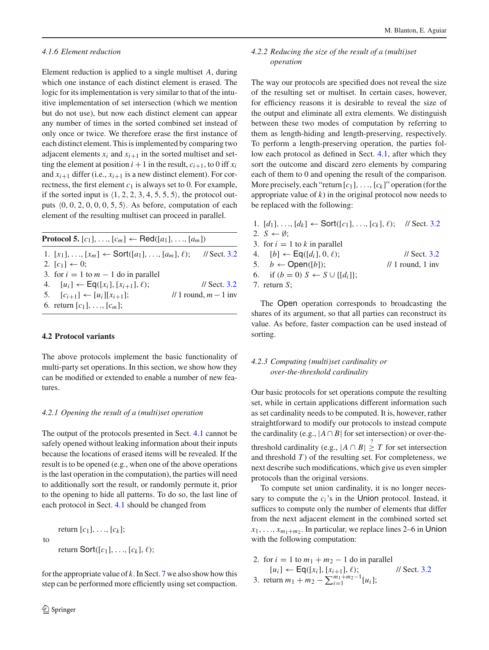#### *4.1.6 Element reduction*

Element reduction is applied to a single multiset *A*, during which one instance of each distinct element is erased. The logic for its implementation is very similar to that of the intuitive implementation of set intersection (which we mention but do not use), but now each distinct element can appear any number of times in the sorted combined set instead of only once or twice. We therefore erase the first instance of each distinct element. This is implemented by comparing two adjacent elements  $x_i$  and  $x_{i+1}$  in the sorted multiset and setting the element at position  $i + 1$  in the result,  $c_{i+1}$ , to 0 iff  $x_i$ and  $x_{i+1}$  differ (i.e.,  $x_{i+1}$  is a new distinct element). For correctness, the first element  $c_1$  is always set to 0. For example, if the sorted input is  $\langle 1, 2, 2, 3, 4, 5, 5, 5 \rangle$ , the protocol outputs  $(0, 0, 2, 0, 0, 0, 5, 5)$ . As before, computation of each element of the resulting multiset can proceed in parallel.

**Protocol 5.**  $[c_1]$ , ...,  $[c_m]$  ← Red( $[a_1]$ , ...,  $[a_m]$ ) 1.  $[x_1], \ldots, [x_m] \leftarrow \text{Sort}([a_1], \ldots, [a_m], \ell);$ // Sect. [3.2](#page-4-0) 2.  $[c_1] \leftarrow 0;$ 3. for  $i = 1$  to  $m - 1$  do in parallel<br>4.  $[u_i] \leftarrow \text{Eq}([x_i], [x_{i+1}], \ell)$ : 4.  $[u_i] \leftarrow \textsf{Eq}([x_i], [x_{i+1}], \ell);$ <br>5.  $[c_{i+1}] \leftarrow [u_i][x_{i+1}];$ ); // Sect. [3.2](#page-4-0)  $[c_{i+1}] \leftarrow [u_i][x_{i+1}];$  // 1 round, *m* − 1 inv 6. return  $[c_1], \ldots, [c_m]$ ;

# **4.2 Protocol variants**

The above protocols implement the basic functionality of multi-party set operations. In this section, we show how they can be modified or extended to enable a number of new features.

#### *4.2.1 Opening the result of a (multi)set operation*

The output of the protocols presented in Sect. [4.1](#page-6-0) cannot be safely opened without leaking information about their inputs because the locations of erased items will be revealed. If the result is to be opened (e.g., when one of the above operations is the last operation in the computation), the parties will need to additionally sort the result, or randomly permute it, prior to the opening to hide all patterns. To do so, the last line of each protocol in Sect. [4.1](#page-6-0) should be changed from

return 
$$
[c_1], \ldots, [c_k]
$$
;  
to  
return Sort( $[c_1], \ldots, [c_k], \ell$ );

for the appropriate value of *k*. In Sect. [7](#page-18-0) we also show how this step can be performed more efficiently using set compaction.

# *4.2.2 Reducing the size of the result of a (multi)set operation*

The way our protocols are specified does not reveal the size of the resulting set or multiset. In certain cases, however, for efficiency reasons it is desirable to reveal the size of the output and eliminate all extra elements. We distinguish between these two modes of computation by referring to them as length-hiding and length-preserving, respectively. To perform a length-preserving operation, the parties follow each protocol as defined in Sect. [4.1,](#page-6-0) after which they sort the outcome and discard zero elements by comparing each of them to 0 and opening the result of the comparison. More precisely, each "return  $[c_1], \ldots, [c_k]$ " operation (for the appropriate value of *k*) in the original protocol now needs to be replaced with the following:

1.  $[d_1], \ldots, [d_k] \leftarrow \text{Sort}([c_1], \ldots, [c_k], \ell);$  // Sect. [3.2](#page-4-0) 2.  $S \leftarrow \emptyset$ ; 3. for  $i = 1$  to  $k$  in parallel 4.  $[b] \leftarrow \textsf{Eq}([d_i], 0, \ell);$ <br>5.  $b \leftarrow \textsf{Open}([b]):$ ); // Sect. [3.2](#page-4-0)  $b \leftarrow \text{Open}([b])$ ; // 1 round, 1 inv 6. if  $(b = 0)$  *S* ← *S* ∪ {[*d<sub>i</sub>*]}; 7. return *S*;

The Open operation corresponds to broadcasting the shares of its argument, so that all parties can reconstruct its value. As before, faster compaction can be used instead of sorting.

# *4.2.3 Computing (multi)set cardinality or over-the-threshold cardinality*

Our basic protocols for set operations compute the resulting set, while in certain applications different information such as set cardinality needs to be computed. It is, however, rather straightforward to modify our protocols to instead compute the cardinality (e.g.,  $|A \cap B|$  for set intersection) or over-thethreshold cardinality (e.g.,  $|A \cap B| \geq T$  for set intersection and threshold *T* ) of the resulting set. For completeness, we next describe such modifications, which give us even simpler protocols than the original versions.

To compute set union cardinality, it is no longer necessary to compute the  $c_i$ 's in the Union protocol. Instead, it suffices to compute only the number of elements that differ from the next adjacent element in the combined sorted set  $x_1, \ldots, x_{m_1+m_2}$ . In particular, we replace lines 2–6 in Union with the following computation:

2. for 
$$
i = 1
$$
 to  $m_1 + m_2 - 1$  do in parallel  
\n $[u_i] \leftarrow \textsf{Eq}([x_i], [x_{i+1}], \ell);$  // Sect. 3.2  
\n3. return  $m_1 + m_2 - \sum_{i=1}^{m_1 + m_2 - 1} [u_i];$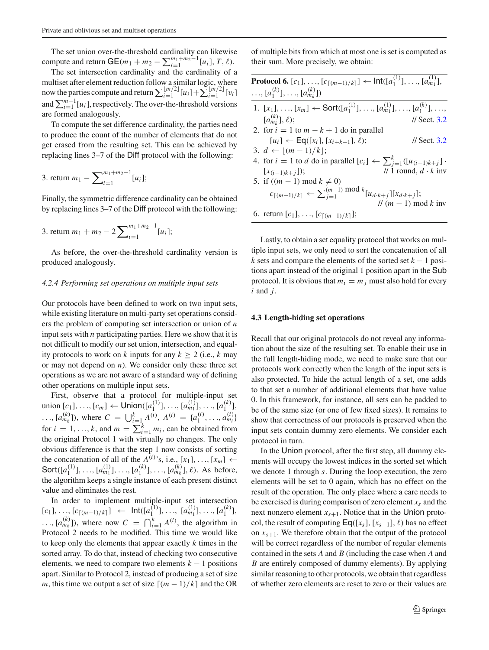The set union over-the-threshold cardinality can likewise compute and return  $GE(m_1 + m_2 - \sum_{i=1}^{m_1+m_2-1} [u_i], T, \ell)$ .

The set intersection cardinality and the cardinality of a multiset after element reduction follow a similar logic, where now the parties compute and return  $\sum_{i=1}^{\lfloor m/2 \rfloor} [u_i] + \sum_{i=1}^{\lfloor m/2 \rfloor} [v_i]$ and  $\sum_{i=1}^{m-1} [u_i]$ , respectively. The over-the-threshold versions are formed analogously.

To compute the set difference cardinality, the parties need to produce the count of the number of elements that do not get erased from the resulting set. This can be achieved by replacing lines 3–7 of the Diff protocol with the following:

3. return 
$$
m_1 - \sum_{i=1}^{m_1+m_2-1} [u_i];
$$

Finally, the symmetric difference cardinality can be obtained by replacing lines 3–7 of the Diff protocol with the following:

3. return 
$$
m_1 + m_2 - 2 \sum_{i=1}^{m_1 + m_2 - 1} [u_i];
$$

As before, the over-the-threshold cardinality version is produced analogously.

#### *4.2.4 Performing set operations on multiple input sets*

Our protocols have been defined to work on two input sets, while existing literature on multi-party set operations considers the problem of computing set intersection or union of *n* input sets with *n* participating parties. Here we show that it is not difficult to modify our set union, intersection, and equality protocols to work on *k* inputs for any  $k \geq 2$  (i.e., *k* may or may not depend on  $n$ ). We consider only these three set operations as we are not aware of a standard way of defining other operations on multiple input sets.

First, observe that a protocol for multiple-input set union  $[c_1], \ldots, [c_m]$  ← Union( $[a_1^{(1)}], \ldots, [a_{m_1}^{(1)}], \ldots, [a_1^{(k)}],$ ...,  $[a_{m_k}^{(k)}]$ , where  $C = \bigcup_{i=1}^{k} A^{(i)}$ ,  $A^{(i)} = \{a_1^{(i)}, ..., a_{m_i}^{(i)}\}$ for  $i = 1, ..., k$ , and  $m = \sum_{i=1}^{k} m_i$ , can be obtained from the original Protocol 1 with virtually no changes. The only obvious difference is that the step 1 now consists of sorting the concatenation of all of the  $A^{(i)}$ 's, i.e.,  $[x_1], \ldots, [x_m] \leftarrow$ Sort( $[a_1^{(1)}], \ldots, [a_{m_1}^{(1)}], \ldots, [a_1^{(k)}], \ldots, [a_{m_k}^{(k)}], \ell$ ). As before, the algorithm keeps a single instance of each present distinct value and eliminates the rest.

In order to implement multiple-input set intersection  $[c_1], \ldots, [c_{\lceil(m-1)/k\rceil}] \leftarrow \text{Int}([a_1^{(1)}], \ldots, [a_{m_1}^{(1)}], \ldots, [a_1^{(k)}],$  $[ a_{m_k}^{(k)} ]$ , where now  $C = \bigcap_{i=1}^k A^{(i)}$ , the algorithm in Protocol 2 needs to be modified. This time we would like to keep only the elements that appear exactly *k* times in the sorted array. To do that, instead of checking two consecutive elements, we need to compare two elements  $k - 1$  positions apart. Similar to Protocol 2, instead of producing a set of size *m*, this time we output a set of size  $\lceil (m-1)/k \rceil$  and the OR

of multiple bits from which at most one is set is computed as their sum. More precisely, we obtain:

| <b>Protocol 6.</b> $[c_1], \ldots, [c_{\lceil (m-1)/k \rceil}] \leftarrow \text{Int}([a_1^{(1)}], \ldots, [a_{m_1}^{(1)}],$ |                                       |
|-----------------------------------------------------------------------------------------------------------------------------|---------------------------------------|
| $\ldots$ , $[a_1^{(k)}], \ldots, [a_{m_k}^{(k)}]$                                                                           |                                       |
| 1. $[x_1], \ldots, [x_m] \leftarrow \text{Sort}([a_1^{(1)}], \ldots, [a_{m_1}^{(1)}], \ldots, [a_1^{(k)}], \ldots,$         |                                       |
| $[a_{m}^{(k)}], \ell);$                                                                                                     | $\frac{\textit{1}}{\text{Sect.}}$ 3.2 |
| 2. for $i = 1$ to $m - k + 1$ do in parallel                                                                                |                                       |
| $[u_i] \leftarrow \textsf{Eq}([x_i], [x_{i+k-1}], \ell);$                                                                   | // Sect. $3.2$                        |
| 3. $d \leftarrow  (m-1)/k $ ;                                                                                               |                                       |
| 4. for $i = 1$ to d do in parallel $[c_i] \leftarrow \sum_{j=1}^k ([u_{(i-1)k+j}]$ .                                        |                                       |
| $[x_{(i-1)k+i}])$ ;                                                                                                         | // 1 round, $d \cdot k$ inv           |
| 5. if $((m - 1) \mod k \neq 0)$                                                                                             |                                       |
| $c_{[(m-1)/k]} \leftarrow \sum_{i=1}^{(m-1)} \text{mod } k_{[u_{d \cdot k+j}][x_{d \cdot k+j}]}$                            | // $(m - 1)$ mod k inv                |
| 6. return $[c_1], \ldots, [c_{\lceil (m-1)/k \rceil}];$                                                                     |                                       |

Lastly, to obtain a set equality protocol that works on multiple input sets, we only need to sort the concatenation of all *k* sets and compare the elements of the sorted set *k* − 1 positions apart instead of the original 1 position apart in the Sub protocol. It is obvious that  $m_i = m_j$  must also hold for every *i* and *j*.

### **4.3 Length-hiding set operations**

Recall that our original protocols do not reveal any information about the size of the resulting set. To enable their use in the full length-hiding mode, we need to make sure that our protocols work correctly when the length of the input sets is also protected. To hide the actual length of a set, one adds to that set a number of additional elements that have value 0. In this framework, for instance, all sets can be padded to be of the same size (or one of few fixed sizes). It remains to show that correctness of our protocols is preserved when the input sets contain dummy zero elements. We consider each protocol in turn.

In the Union protocol, after the first step, all dummy elements will occupy the lowest indices in the sorted set which we denote 1 through *s*. During the loop execution, the zero elements will be set to 0 again, which has no effect on the result of the operation. The only place where a care needs to be exercised is during comparison of zero element *xs* and the next nonzero element  $x_{s+1}$ . Notice that in the Union protocol, the result of computing  $\textsf{Eq}([x_s], [x_{s+1}], \ell)$  has no effect on  $x_{s+1}$ . We therefore obtain that the output of the protocol will be correct regardless of the number of regular elements contained in the sets *A* and *B* (including the case when *A* and *B* are entirely composed of dummy elements). By applying similar reasoning to other protocols, we obtain that regardless of whether zero elements are reset to zero or their values are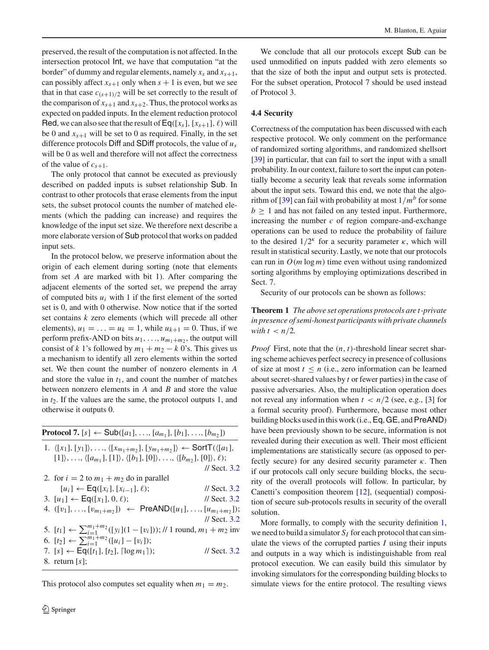preserved, the result of the computation is not affected. In the intersection protocol Int, we have that computation "at the border" of dummy and regular elements, namely  $x_s$  and  $x_{s+1}$ , can possibly affect  $x_{s+1}$  only when  $s + 1$  is even, but we see that in that case  $c_{(s+1)/2}$  will be set correctly to the result of the comparison of  $x_{s+1}$  and  $x_{s+2}$ . Thus, the protocol works as expected on padded inputs. In the element reduction protocol Red, we can also see that the result of  $\textsf{Eq}([x_s], [x_{s+1}], \ell)$  will be 0 and  $x_{s+1}$  will be set to 0 as required. Finally, in the set difference protocols Diff and SDiff protocols, the value of *us* will be 0 as well and therefore will not affect the correctness of the value of  $c_{s+1}$ .

The only protocol that cannot be executed as previously described on padded inputs is subset relationship Sub. In contrast to other protocols that erase elements from the input sets, the subset protocol counts the number of matched elements (which the padding can increase) and requires the knowledge of the input set size. We therefore next describe a more elaborate version of Sub protocol that works on padded input sets.

In the protocol below, we preserve information about the origin of each element during sorting (note that elements from set *A* are marked with bit 1). After comparing the adjacent elements of the sorted set, we prepend the array of computed bits  $u_i$  with 1 if the first element of the sorted set is 0, and with 0 otherwise. Now notice that if the sorted set contains *k* zero elements (which will precede all other elements),  $u_1 = \ldots = u_k = 1$ , while  $u_{k+1} = 0$ . Thus, if we perform prefix-AND on bits  $u_1, \ldots, u_{m_1+m_2}$ , the output will consist of *k* 1's followed by  $m_1 + m_2 - k$  0's. This gives us a mechanism to identify all zero elements within the sorted set. We then count the number of nonzero elements in *A* and store the value in  $t_1$ , and count the number of matches between nonzero elements in *A* and *B* and store the value in *t*2. If the values are the same, the protocol outputs 1, and otherwise it outputs 0.

| <b>Protocol 7.</b> $[s] \leftarrow Sub([a_1], , [a_{m_1}], [b_1], , [b_{m_2}])$                                            |                                       |  |  |
|----------------------------------------------------------------------------------------------------------------------------|---------------------------------------|--|--|
| 1. $\langle [x_1], [y_1] \rangle, \ldots, \langle [x_{m_1+m_2}], [y_{m_1+m_2}] \rangle \leftarrow$ SortT $(\langle [a_1],$ |                                       |  |  |
| $[1]$ , , $\langle [a_{m_1}], [1] \rangle$ , $\langle [b_1], [0] \rangle$ , , $\langle [b_{m_2}], [0] \rangle$ , $\ell$ ); |                                       |  |  |
|                                                                                                                            | $\textit{II}$ Sect. 3.2               |  |  |
| 2. for $i = 2$ to $m_1 + m_2$ do in parallel                                                                               |                                       |  |  |
| $[u_i] \leftarrow \mathsf{Eq}([x_i], [x_{i-1}], \ell);$                                                                    | $\frac{\textit{1}}{\text{Sect. }3.2}$ |  |  |
| 3. $[u_1] \leftarrow \textsf{Eq}([x_1], 0, \ell);$                                                                         | $\frac{\textit{1}}{\text{Sect.}}$ 3.2 |  |  |
| 4. $([v_1], \ldots, [v_{m_1+m_2}]) \leftarrow \text{PreAND}([u_1], \ldots, [u_{m_1+m_2}]);$                                |                                       |  |  |
|                                                                                                                            | // Sect. $3.2$                        |  |  |
| 5. $[t_1] \leftarrow \sum_{i=1}^{m_1+m_2} ([y_i](1 - [v_i]))$ ; // 1 round, $m_1 + m_2$ inv                                |                                       |  |  |
| 6. $[t_2] \leftarrow \sum_{i=1}^{m_1+m_2} ([u_i] - [v_i])$ ;                                                               |                                       |  |  |
| 7. $[s] \leftarrow \textsf{Eq}([t_1], [t_2], \lceil \log m_1 \rceil);$                                                     | $\frac{\textit{1}}{\text{Sect. }3.2}$ |  |  |
| 8. return $[s]$ :                                                                                                          |                                       |  |  |

This protocol also computes set equality when  $m_1 = m_2$ .

We conclude that all our protocols except Sub can be used unmodified on inputs padded with zero elements so that the size of both the input and output sets is protected. For the subset operation, Protocol 7 should be used instead of Protocol 3.

# <span id="page-11-0"></span>**4.4 Security**

Correctness of the computation has been discussed with each respective protocol. We only comment on the performance of randomized sorting algorithms, and randomized shellsort [\[39](#page-25-30)] in particular, that can fail to sort the input with a small probability. In our context, failure to sort the input can potentially become a security leak that reveals some information about the input sets. Toward this end, we note that the algo-rithm of [\[39](#page-25-30)] can fail with probability at most  $1/m<sup>b</sup>$  for some  $b \geq 1$  and has not failed on any tested input. Furthermore, increasing the number *c* of region compare-and-exchange operations can be used to reduce the probability of failure to the desired  $1/2^k$  for a security parameter  $\kappa$ , which will result in statistical security. Lastly, we note that our protocols can run in  $O(m \log m)$  time even without using randomized sorting algorithms by employing optimizations described in Sect. [7.](#page-18-0)

Security of our protocols can be shown as follows:

**Theorem 1** *The above set operations protocols are t -private in presence of semi-honest participants with private channels with*  $t < n/2$ *.* 

*Proof* First, note that the (*n*, *t*)-threshold linear secret sharing scheme achieves perfect secrecy in presence of collusions of size at most  $t \leq n$  (i.e., zero information can be learned about secret-shared values by *t* or fewer parties) in the case of passive adversaries. Also, the multiplication operation does not reveal any information when  $t < n/2$  (see, e.g., [\[3](#page-24-17)] for a formal security proof). Furthermore, because most other building blocks used in this work (i.e., Eq, GE, and PreAND) have been previously shown to be secure, information is not revealed during their execution as well. Their most efficient implementations are statistically secure (as opposed to perfectly secure) for any desired security parameter  $\kappa$ . Then if our protocols call only secure building blocks, the security of the overall protocols will follow. In particular, by Canetti's composition theorem [\[12](#page-24-18)], (sequential) composition of secure sub-protocols results in security of the overall solution.

More formally, to comply with the security definition [1,](#page-6-1) we need to build a simulator  $S_I$  for each protocol that can simulate the views of the corrupted parties *I* using their inputs and outputs in a way which is indistinguishable from real protocol execution. We can easily build this simulator by invoking simulators for the corresponding building blocks to simulate views for the entire protocol. The resulting views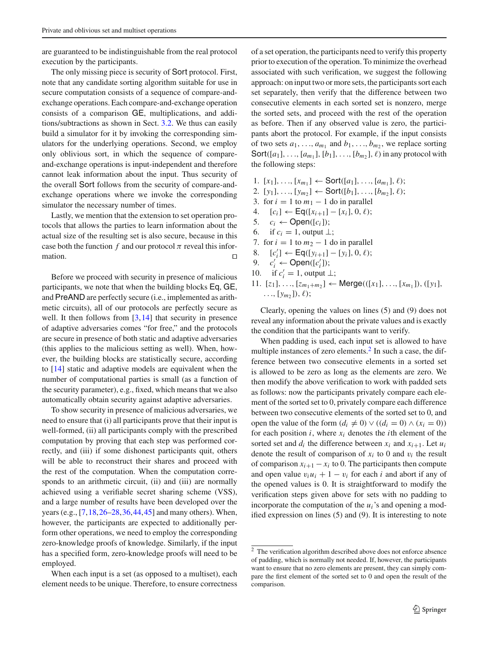are guaranteed to be indistinguishable from the real protocol execution by the participants.

The only missing piece is security of Sort protocol. First, note that any candidate sorting algorithm suitable for use in secure computation consists of a sequence of compare-andexchange operations. Each compare-and-exchange operation consists of a comparison GE, multiplications, and additions/subtractions as shown in Sect. [3.2.](#page-4-0) We thus can easily build a simulator for it by invoking the corresponding simulators for the underlying operations. Second, we employ only oblivious sort, in which the sequence of compareand-exchange operations is input-independent and therefore cannot leak information about the input. Thus security of the overall Sort follows from the security of compare-andexchange operations where we invoke the corresponding simulator the necessary number of times.

Lastly, we mention that the extension to set operation protocols that allows the parties to learn information about the actual size of the resulting set is also secure, because in this case both the function *f* and our protocol  $\pi$  reveal this infor- $\Box$ 

Before we proceed with security in presence of malicious participants, we note that when the building blocks Eq, GE, and PreAND are perfectly secure (i.e., implemented as arithmetic circuits), all of our protocols are perfectly secure as well. It then follows from  $[3,14]$  $[3,14]$  $[3,14]$  that security in presence of adaptive adversaries comes "for free," and the protocols are secure in presence of both static and adaptive adversaries (this applies to the malicious setting as well). When, however, the building blocks are statistically secure, according to [\[14](#page-24-19)] static and adaptive models are equivalent when the number of computational parties is small (as a function of the security parameter), e.g., fixed, which means that we also automatically obtain security against adaptive adversaries.

To show security in presence of malicious adversaries, we need to ensure that (i) all participants prove that their input is well-formed, (ii) all participants comply with the prescribed computation by proving that each step was performed correctly, and (iii) if some dishonest participants quit, others will be able to reconstruct their shares and proceed with the rest of the computation. When the computation corresponds to an arithmetic circuit, (ii) and (iii) are normally achieved using a verifiable secret sharing scheme (VSS), and a large number of results have been developed over the years (e.g., [\[7](#page-24-11),[18,](#page-24-20)[26](#page-25-35)[–28,](#page-25-36)[36](#page-25-27)[,44](#page-25-37)[,45](#page-25-28)] and many others). When, however, the participants are expected to additionally perform other operations, we need to employ the corresponding zero-knowledge proofs of knowledge. Similarly, if the input has a specified form, zero-knowledge proofs will need to be employed.

When each input is a set (as opposed to a multiset), each element needs to be unique. Therefore, to ensure correctness

of a set operation, the participants need to verify this property prior to execution of the operation. To minimize the overhead associated with such verification, we suggest the following approach: on input two or more sets, the participants sort each set separately, then verify that the difference between two consecutive elements in each sorted set is nonzero, merge the sorted sets, and proceed with the rest of the operation as before. Then if any observed value is zero, the participants abort the protocol. For example, if the input consists of two sets  $a_1, \ldots, a_{m_1}$  and  $b_1, \ldots, b_{m_2}$ , we replace sorting Sort( $[a_1], ..., [a_{m_1}], [b_1], ..., [b_{m_2}], \ell$ ) in any protocol with the following steps:

- 1.  $[x_1], \ldots, [x_{m_1}] \leftarrow \text{Sort}([a_1], \ldots, [a_{m_1}], \ell);$
- 2.  $[y_1], \ldots, [y_{m_2}] \leftarrow \text{Sort}([b_1], \ldots, [b_{m_2}], \ell);$
- 3. for  $i = 1$  to  $m_1 1$  do in parallel<br>4.  $[c_i] \leftarrow \textsf{Eq}([x_{i+1}] [x_i], 0, \ell);$
- 4.  $[c_i] \leftarrow \textsf{Eq}([x_{i+1}]-[x_i], 0, \ell);$
- 5.  $c_i \leftarrow \text{Open}([c_i])$ ;
- 6. if  $c_i = 1$ , output  $\perp$ ;
- 7. for  $i = 1$  to  $m_2 1$  do in parallel
- 8.  $[c'_i]$  ← Eq([ $y_{i+1}$ ] [ $y_i$ ], 0,  $\ell$ );
- 9.  $c'_i \leftarrow \mathsf{Open}([c'_i]);$
- 10. if  $c'_i = 1$ , output  $\perp$ ;
- 11.  $[z_1], \ldots, [z_{m_1+m_2}] \leftarrow \text{Merge}(([x_1], \ldots, [x_{m_1}]), ([y_1],$  $\ldots$ , [*y<sub>m2</sub>*]),  $\ell$ );

Clearly, opening the values on lines (5) and (9) does not reveal any information about the private values and is exactly the condition that the participants want to verify.

When padding is used, each input set is allowed to have multiple instances of zero elements. $<sup>2</sup>$  In such a case, the dif-</sup> ference between two consecutive elements in a sorted set is allowed to be zero as long as the elements are zero. We then modify the above verification to work with padded sets as follows: now the participants privately compare each element of the sorted set to 0, privately compare each difference between two consecutive elements of the sorted set to 0, and open the value of the form  $(d_i \neq 0) \vee ((d_i = 0) \wedge (x_i = 0))$ for each position  $i$ , where  $x_i$  denotes the  $i$ th element of the sorted set and  $d_i$  the difference between  $x_i$  and  $x_{i+1}$ . Let  $u_i$ denote the result of comparison of  $x_i$  to 0 and  $v_i$  the result of comparison  $x_{i+1} - x_i$  to 0. The participants then compute and open value  $v_i u_i + 1 - v_i$  for each *i* and abort if any of the opened values is 0. It is straightforward to modify the verification steps given above for sets with no padding to incorporate the computation of the  $u_i$ 's and opening a modified expression on lines (5) and (9). It is interesting to note

<span id="page-12-0"></span><sup>2</sup> The verification algorithm described above does not enforce absence of padding, which is normally not needed. If, however, the participants want to ensure that no zero elements are present, they can simply compare the first element of the sorted set to 0 and open the result of the comparison.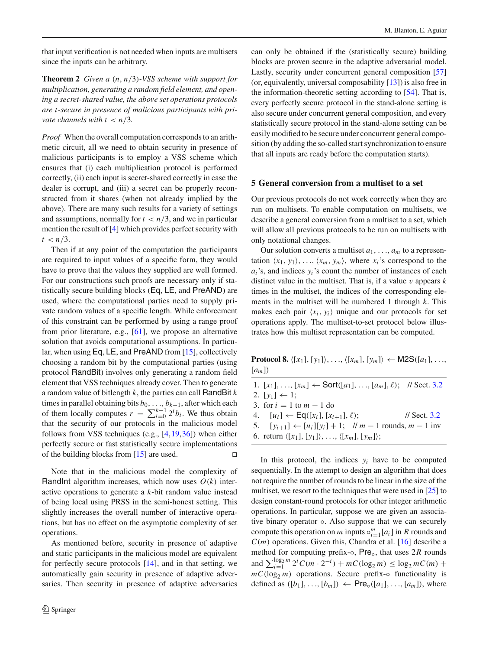that input verification is not needed when inputs are multisets since the inputs can be arbitrary.

**Theorem 2** *Given a* (*n*, *n*/3)*-VSS scheme with support for multiplication, generating a random field element, and opening a secret-shared value, the above set operations protocols are t -secure in presence of malicious participants with private channels with*  $t < n/3$ .

*Proof* When the overall computation corresponds to an arithmetic circuit, all we need to obtain security in presence of malicious participants is to employ a VSS scheme which ensures that (i) each multiplication protocol is performed correctly, (ii) each input is secret-shared correctly in case the dealer is corrupt, and (iii) a secret can be properly reconstructed from it shares (when not already implied by the above). There are many such results for a variety of settings and assumptions, normally for  $t < n/3$ , and we in particular mention the result of [\[4\]](#page-24-21) which provides perfect security with  $t < n/3$ .

Then if at any point of the computation the participants are required to input values of a specific form, they would have to prove that the values they supplied are well formed. For our constructions such proofs are necessary only if statistically secure building blocks (Eq, LE, and PreAND) are used, where the computational parties need to supply private random values of a specific length. While enforcement of this constraint can be performed by using a range proof from prior literature, e.g., [\[61\]](#page-25-38), we propose an alternative solution that avoids computational assumptions. In particular, when using Eq, LE, and PreAND from [\[15](#page-24-15)], collectively choosing a random bit by the computational parties (using protocol RandBit) involves only generating a random field element that VSS techniques already cover. Then to generate a random value of bitlength *k*, the parties can call RandBit *k* times in parallel obtaining bits *b*0, . . ., *bk*−1, after which each of them locally computes  $r = \sum_{i=0}^{k-1} 2^i b_i$ . We thus obtain that the security of our protocols in the malicious model follows from VSS techniques (e.g., [\[4](#page-24-21),[19,](#page-24-6)[36\]](#page-25-27)) when either perfectly secure or fast statistically secure implementations of the building blocks from  $[15]$  are used.  $\square$ 

Note that in the malicious model the complexity of RandInt algorithm increases, which now uses  $O(k)$  interactive operations to generate a *k*-bit random value instead of being local using PRSS in the semi-honest setting. This slightly increases the overall number of interactive operations, but has no effect on the asymptotic complexity of set operations.

As mentioned before, security in presence of adaptive and static participants in the malicious model are equivalent for perfectly secure protocols [\[14\]](#page-24-19), and in that setting, we automatically gain security in presence of adaptive adversaries. Then security in presence of adaptive adversaries can only be obtained if the (statistically secure) building blocks are proven secure in the adaptive adversarial model. Lastly, security under concurrent general composition [\[57\]](#page-25-39) (or, equivalently, universal composability [\[13](#page-24-22)]) is also free in the information-theoretic setting according to [\[54](#page-25-40)]. That is, every perfectly secure protocol in the stand-alone setting is also secure under concurrent general composition, and every statistically secure protocol in the stand-alone setting can be easily modified to be secure under concurrent general composition (by adding the so-called start synchronization to ensure that all inputs are ready before the computation starts).

# <span id="page-13-0"></span>**5 General conversion from a multiset to a set**

Our previous protocols do not work correctly when they are run on multisets. To enable computation on multisets, we describe a general conversion from a multiset to a set, which will allow all previous protocols to be run on multisets with only notational changes.

Our solution converts a multiset *a*1, . . ., *am* to a representation  $\langle x_1, y_1 \rangle, \ldots, \langle x_m, y_m \rangle$ , where  $x_i$ 's correspond to the  $a_i$ 's, and indices  $y_i$ 's count the number of instances of each distinct value in the multiset. That is, if a value v appears *k* times in the multiset, the indices of the corresponding elements in the multiset will be numbered 1 through *k*. This makes each pair  $\langle x_i, y_i \rangle$  unique and our protocols for set operations apply. The multiset-to-set protocol below illustrates how this multiset representation can be computed.

| <b>Protocol 8.</b> $\langle [x_1], [y_1] \rangle, , \langle [x_m], [y_m] \rangle$ ← M2S([a <sub>1</sub> ], ,<br>$[a_m]$ |                                                            |
|-------------------------------------------------------------------------------------------------------------------------|------------------------------------------------------------|
| 1. $[x_1], \ldots, [x_m] \leftarrow$ Sort $([a_1], \ldots, [a_m], \ell)$ ; // Sect. 3.2                                 |                                                            |
| 2. $[v_1] \leftarrow 1$ :                                                                                               |                                                            |
| 3. for $i = 1$ to $m - 1$ do                                                                                            |                                                            |
| 4. $[u_i] \leftarrow \textsf{Eq}([x_i], [x_{i+1}], \ell);$                                                              | $\frac{\textit{II} \text{ Sect. } 3.2 \text{ }}{\text{I}}$ |
| 5. $[y_{i+1}] \leftarrow [u_i][y_i] + 1;$ // $m-1$ rounds, $m-1$ inv                                                    |                                                            |
| 6. return $\langle [x_1], [y_1] \rangle, , \langle [x_m], [y_m] \rangle;$                                               |                                                            |

In this protocol, the indices  $y_i$  have to be computed sequentially. In the attempt to design an algorithm that does not require the number of rounds to be linear in the size of the multiset, we resort to the techniques that were used in [\[25](#page-24-16)] to design constant-round protocols for other integer arithmetic operations. In particular, suppose we are given an associative binary operator ◦. Also suppose that we can securely compute this operation on *m* inputs  $\circ_{i=1}^{m}[a_i]$  in *R* rounds and *C*(*m*) operations. Given this, Chandra et al. [\[16\]](#page-24-23) describe a method for computing prefix-◦, Pre◦, that uses 2*R* rounds and  $\sum_{i=1}^{\log_2 m} 2^i C(m \cdot 2^{-i}) + mC(\log_2 m) \le \log_2 mC(m) + C(m)$  $mc(\log_2 m)$  operations. Secure prefix-∘ functionality is defined as  $([b_1], \ldots, [b_m]) \leftarrow \text{Pre}_{\circ}([a_1], \ldots, [a_m])$ , where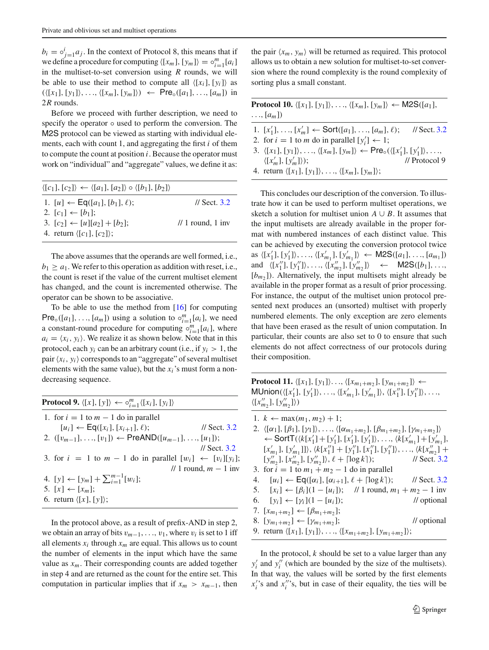$b_i = o^i_{j=1} a_j$ . In the context of Protocol 8, this means that if we define a procedure for computing  $\langle [x_m], [y_m] \rangle = \circ_{i=1}^m [a_i]$ in the multiset-to-set conversion using *R* rounds, we will be able to use their method to compute all  $\langle [x_i], [y_i] \rangle$  as  $(\langle [x_1], [y_1] \rangle, \ldots, \langle [x_m], [y_m] \rangle) \leftarrow \text{Pre}_\circ([a_1], \ldots, [a_m])$  in 2*R* rounds.

Before we proceed with further description, we need to specify the operator  $\circ$  used to perform the conversion. The M2S protocol can be viewed as starting with individual elements, each with count 1, and aggregating the first *i* of them to compute the count at position *i*. Because the operator must work on "individual" and "aggregate" values, we define it as:

| $\langle [c_1], [c_2] \rangle \leftarrow \langle [a_1], [a_2] \rangle \circ \langle [b_1], [b_2] \rangle$ |                                                  |
|-----------------------------------------------------------------------------------------------------------|--------------------------------------------------|
| 1. $[u] \leftarrow \textsf{Eq}([a_1], [b_1], \ell);$                                                      | $\frac{\textit{II} \text{ Sect.} 3.2}{\text{I}}$ |
| 2. $[c_1] \leftarrow [b_1]$ :                                                                             |                                                  |
| 3. $[c_2] \leftarrow [u][a_2] + [b_2];$                                                                   | $\frac{\pi}{1}$ round, 1 inv                     |
| 4. return $\langle [c_1], [c_2] \rangle$ ;                                                                |                                                  |

The above assumes that the operands are well formed, i.e.,  $b_1 \ge a_1$ . We refer to this operation as addition with reset, i.e., the count is reset if the value of the current multiset element has changed, and the count is incremented otherwise. The operator can be shown to be associative.

To be able to use the method from  $[16]$  $[16]$  for computing  $Pre<sub>o</sub>([a<sub>1</sub>],..., [a<sub>m</sub>])$  using a solution to  $\circ^m_{i=1}[a_i]$ , we need a constant-round procedure for computing  $\circ_{i=1}^{m} [a_i]$ , where  $a_i = \langle x_i, y_i \rangle$ . We realize it as shown below. Note that in this protocol, each  $y_i$  can be an arbitrary count (i.e., if  $y_i > 1$ , the pair  $\langle x_i, y_i \rangle$  corresponds to an "aggregate" of several multiset elements with the same value), but the *xi*'s must form a nondecreasing sequence.

| <b>Protocol 9.</b> $\langle [x], [y] \rangle \leftarrow \circ_{i=1}^{m} \langle [x_i], [y_i] \rangle$ |                                                            |
|-------------------------------------------------------------------------------------------------------|------------------------------------------------------------|
| 1. for $i = 1$ to $m - 1$ do in parallel                                                              |                                                            |
| $[u_i] \leftarrow \mathsf{Eq}([x_i], [x_{i+1}], \ell);$                                               | $\frac{\textit{II} \text{ Sect. } 3.2 \text{ }}{\text{I}}$ |
| 2. $([v_{m-1}], \ldots, [v_1]) \leftarrow \text{PreAND}([u_{m-1}], \ldots, [u_1])$ ;                  |                                                            |
|                                                                                                       | // Sect. $3.2$                                             |
| 3. for $i = 1$ to $m - 1$ do in parallel $[w_i] \leftarrow [v_i][y_i]$ ;                              |                                                            |
|                                                                                                       | // 1 round, $m-1$ inv                                      |
| 4. [y] $\leftarrow [y_m] + \sum_{i=1}^{m-1} [w_i];$                                                   |                                                            |
| 5. $[x] \leftarrow [x_m]$ :                                                                           |                                                            |
| 6. return $\langle [x], [y] \rangle$ ;                                                                |                                                            |

In the protocol above, as a result of prefix-AND in step 2, we obtain an array of bits  $v_{m-1}, \ldots, v_1$ , where  $v_i$  is set to 1 iff all elements  $x_i$  through  $x_m$  are equal. This allows us to count the number of elements in the input which have the same value as  $x_m$ . Their corresponding counts are added together in step 4 and are returned as the count for the entire set. This computation in particular implies that if  $x_m > x_{m-1}$ , then

the pair  $\langle x_m, y_m \rangle$  will be returned as required. This protocol allows us to obtain a new solution for multiset-to-set conversion where the round complexity is the round complexity of sorting plus a small constant.

| <b>Protocol 10.</b> $\langle [x_1], [y_1] \rangle, , \langle [x_m], [y_m] \rangle$ ← M2S([a <sub>1</sub> ],<br>$\ldots$ , $[a_m]$ )         |                                        |
|---------------------------------------------------------------------------------------------------------------------------------------------|----------------------------------------|
| 1. $[x'_1], \ldots, [x'_m] \leftarrow \text{Sort}([a_1], \ldots, [a_m], \ell);$                                                             | $\frac{\textit{II} \text{Sect.}}{3.2}$ |
| 2. for $i = 1$ to <i>m</i> do in parallel $[y'_i] \leftarrow 1$ ;                                                                           |                                        |
| 3. $\langle [x_1], [y_1] \rangle, \ldots, \langle [x_m], [y_m] \rangle \leftarrow \text{Pre}_\circ(\langle [x'_1], [y'_1] \rangle, \ldots,$ |                                        |
| $\langle [x'_m], [y'_m] \rangle$ ;                                                                                                          | $\frac{1}{2}$ Protocol 9               |
| 4. return $\langle [x_1], [y_1] \rangle, \ldots, \langle [x_m], [y_m] \rangle;$                                                             |                                        |

This concludes our description of the conversion. To illustrate how it can be used to perform multiset operations, we sketch a solution for multiset union  $A \cup B$ . It assumes that the input multisets are already available in the proper format with numbered instances of each distinct value. This can be achieved by executing the conversion protocol twice as  $\langle [x'_1], [y'_1] \rangle, \ldots, \langle [x'_{m_1}], [y'_{m_1}] \rangle \leftarrow \text{M2S}([a_1], \ldots, [a_{m_1}])$ and  $\langle [x''_1], [y''_1] \rangle, \ldots, \langle [x''_{m_2}], [y''_{m_2}] \rangle \leftarrow \text{M2S}([b_1], \ldots,$  $[b_{m_2}]$ ). Alternatively, the input multisets might already be available in the proper format as a result of prior processing. For instance, the output of the multiset union protocol presented next produces an (unsorted) multiset with properly numbered elements. The only exception are zero elements that have been erased as the result of union computation. In particular, their counts are also set to 0 to ensure that such elements do not affect correctness of our protocols during their composition.

**Protocol 11.**  $\langle [x_1], [y_1] \rangle$ ...,  $\langle [x_{m_1+m_2}], [y_{m_1+m_2}] \rangle$  ← MUnion( $\langle [x'_1], [y'_1] \rangle, \ldots, \langle [x'_{m_1}], [y'_{m_1}] \rangle, \langle [x''_1], [y''_1] \rangle, \ldots$  $\langle [x''_{m_2}], [y''_{m_2}] \rangle$ 

| 1. $k \leftarrow \max(m_1, m_2) + 1;$                                                                                                     |                         |
|-------------------------------------------------------------------------------------------------------------------------------------------|-------------------------|
| 2. $\langle [\alpha_1], [\beta_1], [\gamma_1] \rangle, \ldots, \langle [\alpha_{m_1+m_2}], [\beta_{m_1+m_2}], [\gamma_{m_1+m_2}] \rangle$ |                         |
| ← Sort $\mathsf{T}(\langle k[x'_1]+[y'_1], [x'_1], [y'_1]\rangle, \ldots, \langle k[x'_{m_1}]+[y'_{m_1}],$                                |                         |
| $[x'_{m_1}], [y'_{m_1}]]\rangle$ , $\langle k[x''_1] + [y''_1], [x''_1], [y''_1]\rangle$ , , $\langle k[x''_{m_2}] +$                     |                         |
| $[y''_{m_2}]$ , $[x''_{m_2}]$ , $[y''_{m_2}]$ , $\ell + \lceil \log k \rceil$ ;                                                           | $\frac{1}{2}$ Sect. 3.2 |
| 3. for $i = 1$ to $m_1 + m_2 - 1$ do in parallel                                                                                          |                         |
| 4. $[u_i] \leftarrow \textsf{Eq}([\alpha_i], [\alpha_{i+1}], \ell + \lceil \log k \rceil);$ // Sect. 3.2                                  |                         |
| 5. $[x_i] \leftarrow [\beta_i](1 - [u_i])$ ; // 1 round, $m_1 + m_2 - 1$ inv                                                              |                         |
| 6. $[y_i] \leftarrow [y_i](1 - [u_i])$ ;                                                                                                  | // optional             |
| 7. $[x_{m_1+m_2}] \leftarrow [\beta_{m_1+m_2}];$                                                                                          |                         |
| 8. $[y_{m_1+m_2}] \leftarrow [y_{m_1+m_2}]$ ;                                                                                             | // optional             |
| 9. return $\langle [x_1], [y_1] \rangle, \ldots, \langle [x_{m_1+m_2}], [y_{m_1+m_2}] \rangle;$                                           |                         |

In the protocol, *k* should be set to a value larger than any  $y_i'$  and  $y_i''$  (which are bounded by the size of the multisets). In that way, the values will be sorted by the first elements  $x_i$ <sup>'</sup>'s and  $x_i$ <sup>'''</sup>s, but in case of their equality, the ties will be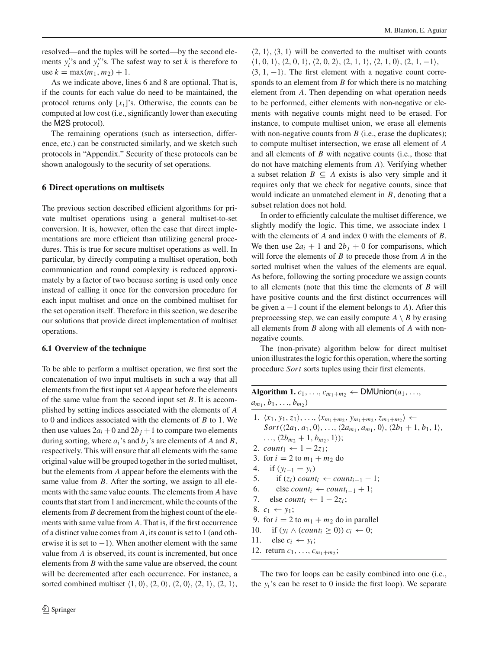resolved—and the tuples will be sorted—by the second elements  $y_i$ 's and  $y_i$ ''s. The safest way to set *k* is therefore to use  $k = \max(m_1, m_2) + 1$ .

As we indicate above, lines 6 and 8 are optional. That is, if the counts for each value do need to be maintained, the protocol returns only [*xi*]'s. Otherwise, the counts can be computed at low cost (i.e., significantly lower than executing the M2S protocol).

The remaining operations (such as intersection, difference, etc.) can be constructed similarly, and we sketch such protocols in "Appendix." Security of these protocols can be shown analogously to the security of set operations.

### **6 Direct operations on multisets**

The previous section described efficient algorithms for private multiset operations using a general multiset-to-set conversion. It is, however, often the case that direct implementations are more efficient than utilizing general procedures. This is true for secure multiset operations as well. In particular, by directly computing a multiset operation, both communication and round complexity is reduced approximately by a factor of two because sorting is used only once instead of calling it once for the conversion procedure for each input multiset and once on the combined multiset for the set operation itself. Therefore in this section, we describe our solutions that provide direct implementation of multiset operations.

### **6.1 Overview of the technique**

To be able to perform a multiset operation, we first sort the concatenation of two input multisets in such a way that all elements from the first input set *A* appear before the elements of the same value from the second input set *B*. It is accomplished by setting indices associated with the elements of *A* to 0 and indices associated with the elements of *B* to 1. We then use values  $2a_i + 0$  and  $2b_i + 1$  to compare two elements during sorting, where  $a_i$ 's and  $b_j$ 's are elements of *A* and *B*, respectively. This will ensure that all elements with the same original value will be grouped together in the sorted multiset, but the elements from *A* appear before the elements with the same value from *B*. After the sorting, we assign to all elements with the same value counts. The elements from *A* have counts that start from 1 and increment, while the counts of the elements from *B* decrement from the highest count of the elements with same value from *A*. That is, if the first occurrence of a distinct value comes from *A*, its count is set to 1 (and otherwise it is set to  $-1$ ). When another element with the same value from *A* is observed, its count is incremented, but once elements from *B* with the same value are observed, the count will be decremented after each occurrence. For instance, a sorted combined multiset  $\langle 1, 0 \rangle$ ,  $\langle 2, 0 \rangle$ ,  $\langle 2, 0 \rangle$ ,  $\langle 2, 1 \rangle$ ,  $\langle 2, 1 \rangle$ ,

 $(2, 1), (3, 1)$  will be converted to the multiset with counts  $\langle 1, 0, 1 \rangle$ ,  $\langle 2, 0, 1 \rangle$ ,  $\langle 2, 0, 2 \rangle$ ,  $\langle 2, 1, 1 \rangle$ ,  $\langle 2, 1, 0 \rangle$ ,  $\langle 2, 1, -1 \rangle$ ,  $(3, 1, -1)$ . The first element with a negative count corresponds to an element from *B* for which there is no matching element from *A*. Then depending on what operation needs to be performed, either elements with non-negative or elements with negative counts might need to be erased. For instance, to compute multiset union, we erase all elements with non-negative counts from *B* (i.e., erase the duplicates); to compute multiset intersection, we erase all element of *A* and all elements of *B* with negative counts (i.e., those that do not have matching elements from *A*). Verifying whether a subset relation  $B \subseteq A$  exists is also very simple and it requires only that we check for negative counts, since that would indicate an unmatched element in *B*, denoting that a subset relation does not hold.

In order to efficiently calculate the multiset difference, we slightly modify the logic. This time, we associate index 1 with the elements of *A* and index 0 with the elements of *B*. We then use  $2a_i + 1$  and  $2b_j + 0$  for comparisons, which will force the elements of *B* to precede those from *A* in the sorted multiset when the values of the elements are equal. As before, following the sorting procedure we assign counts to all elements (note that this time the elements of *B* will have positive counts and the first distinct occurrences will be given a −1 count if the element belongs to *A*). After this preprocessing step, we can easily compute  $A \setminus B$  by erasing all elements from *B* along with all elements of *A* with nonnegative counts.

The (non-private) algorithm below for direct multiset union illustrates the logic for this operation, where the sorting procedure *Sort* sorts tuples using their first elements.

| Algorithm 1. $c_1, \ldots, c_{m_1+m_2} \leftarrow \text{DMUnion}(a_1, \ldots, a_m)$ |  |
|-------------------------------------------------------------------------------------|--|
| $a_{m_1}, b_1, \ldots, b_{m_2}$                                                     |  |

| 1. $\langle x_1, y_1, z_1 \rangle, \ldots, \langle x_{m_1+m_2}, y_{m_1+m_2}, z_{m_1+m_2} \rangle \leftarrow$         |
|----------------------------------------------------------------------------------------------------------------------|
| $Sort(\langle 2a_1, a_1, 0 \rangle, \ldots, \langle 2a_{m_1}, a_{m_1}, 0 \rangle, \langle 2b_1 + 1, b_1, 1 \rangle,$ |
| , $\langle 2b_m, +1, b_m, 1 \rangle$ ;                                                                               |
| 2. <i>count</i> <sub>1</sub> $\leftarrow$ 1 - 2z <sub>1</sub> ;                                                      |
| 3. for $i = 2$ to $m_1 + m_2$ do                                                                                     |
| 4. if $(y_{i-1} = y_i)$                                                                                              |
| 5. if $(z_i)$ count <sub>i</sub> $\leftarrow$ count <sub>i-1</sub> - 1;                                              |
| 6. else count <sub>i</sub> $\leftarrow$ count <sub>i-1</sub> + 1;                                                    |
| 7. else count <sub>i</sub> $\leftarrow$ 1 – 2z <sub>i</sub> ;                                                        |
| 8. $c_1 \leftarrow y_1$ ;                                                                                            |
| 9. for $i = 2$ to $m_1 + m_2$ do in parallel                                                                         |
| 10. if $(y_i \wedge (count_i \ge 0)) c_i \leftarrow 0;$                                                              |
| 11. else $c_i \leftarrow y_i$ ;                                                                                      |
| 12. return $c_1, , c_{m_1+m_2}$ ;                                                                                    |
|                                                                                                                      |

The two for loops can be easily combined into one (i.e., the  $y_i$ 's can be reset to 0 inside the first loop). We separate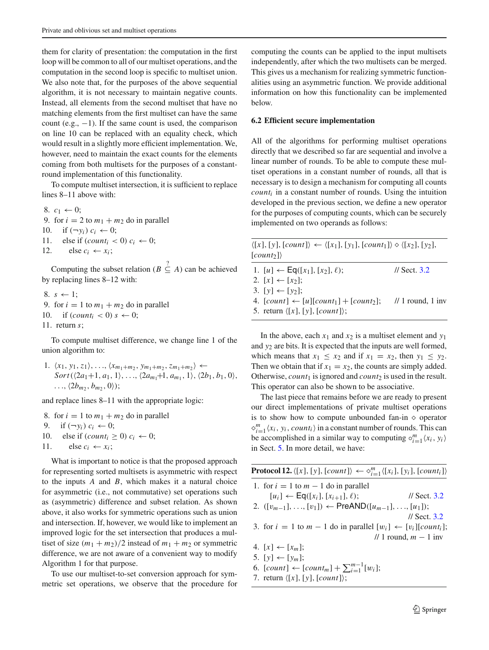them for clarity of presentation: the computation in the first loop will be common to all of our multiset operations, and the computation in the second loop is specific to multiset union. We also note that, for the purposes of the above sequential algorithm, it is not necessary to maintain negative counts. Instead, all elements from the second multiset that have no matching elements from the first multiset can have the same count (e.g.,  $-1$ ). If the same count is used, the comparison on line 10 can be replaced with an equality check, which would result in a slightly more efficient implementation. We, however, need to maintain the exact counts for the elements coming from both multisets for the purposes of a constantround implementation of this functionality.

To compute multiset intersection, it is sufficient to replace lines 8–11 above with:

8.  $c_1 \leftarrow 0;$ 9. for  $i = 2$  to  $m_1 + m_2$  do in parallel 10. if  $(\neg y_i)$   $c_i \leftarrow 0;$ <br>11. else if  $\text{(counti)}$ 11. else if  $\text{(count_i} < 0) \, c_i \leftarrow 0;$ <br>12. else  $c_i \leftarrow x_i;$ else  $c_i \leftarrow x_i$ ;

Computing the subset relation ( $B \subseteq A$ ) can be achieved by replacing lines 8–12 with:

8.  $s \leftarrow 1$ ; 9. for  $i = 1$  to  $m_1 + m_2$  do in parallel 10. if  $\text{(count_i} < 0) \, s \leftarrow 0;$ 11. return *s*;

To compute multiset difference, we change line 1 of the union algorithm to:

1.  $\langle x_1, y_1, z_1 \rangle, \ldots, \langle x_{m_1+m_2}, y_{m_1+m_2}, z_{m_1+m_2} \rangle \leftarrow$  $Sort(\langle 2a_1+1, a_1, 1 \rangle, \ldots, \langle 2a_{m_1}+1, a_{m_1}, 1 \rangle, \langle 2b_1, b_1, 0 \rangle,$ ...,  $\langle 2b_{m_2}, b_{m_2}, 0 \rangle$ ;

and replace lines 8–11 with the appropriate logic:

8. for  $i = 1$  to  $m_1 + m_2$  do in parallel 9. if  $(\neg y_i)$   $c_i \leftarrow 0$ ; 10. else if  $\text{(count_i} \geq 0) \ c_i \leftarrow 0;$ 11. else  $c_i \leftarrow x_i$ ;

What is important to notice is that the proposed approach for representing sorted multisets is asymmetric with respect to the inputs *A* and *B*, which makes it a natural choice for asymmetric (i.e., not commutative) set operations such as (asymmetric) difference and subset relation. As shown above, it also works for symmetric operations such as union and intersection. If, however, we would like to implement an improved logic for the set intersection that produces a multiset of size  $(m_1 + m_2)/2$  instead of  $m_1 + m_2$  or symmetric difference, we are not aware of a convenient way to modify Algorithm 1 for that purpose.

To use our multiset-to-set conversion approach for symmetric set operations, we observe that the procedure for computing the counts can be applied to the input multisets independently, after which the two multisets can be merged. This gives us a mechanism for realizing symmetric functionalities using an asymmetric function. We provide additional information on how this functionality can be implemented below.

## **6.2 Efficient secure implementation**

All of the algorithms for performing multiset operations directly that we described so far are sequential and involve a linear number of rounds. To be able to compute these multiset operations in a constant number of rounds, all that is necessary is to design a mechanism for computing all counts  $count_i$  in a constant number of rounds. Using the intuition developed in the previous section, we define a new operator for the purposes of computing counts, which can be securely implemented on two operands as follows:

 $\langle [x], [y], [count] \rangle \leftarrow \langle [x_1], [y_1], [count] \rangle \diamond \langle [x_2], [y_2],$  $[count_2]$ 

1.  $[u] \leftarrow \textsf{Eq}([x_1], [x_2], \ell);$ ); // Sect. [3.2](#page-4-0) 2.  $[x] ← [x_2];$ 3.  $[y] ← [y_2]$ ; 4.  $[count] \leftarrow [u][count_1] + [count_2]; \quad \textit{// } 1 \text{ round}, 1 \text{ inv}$ 5. return  $\langle [x], [y], [count] \rangle$ ;

In the above, each  $x_1$  and  $x_2$  is a multiset element and  $y_1$ and *y*<sup>2</sup> are bits. It is expected that the inputs are well formed, which means that  $x_1 \leq x_2$  and if  $x_1 = x_2$ , then  $y_1 \leq y_2$ . Then we obtain that if  $x_1 = x_2$ , the counts are simply added. Otherwise, *count*<sub>1</sub> is ignored and *count*<sub>2</sub> is used in the result. This operator can also be shown to be associative.

The last piece that remains before we are ready to present our direct implementations of private multiset operations is to show how to compute unbounded fan-in  $\diamond$  operator  $\phi_{i=1}^m \langle x_i, y_i, count_i \rangle$  in a constant number of rounds. This can be accomplished in a similar way to computing  $\circ_{i=1}^{m} \langle x_i, y_i \rangle$ in Sect. [5.](#page-13-0) In more detail, we have:

| <b>Protocol 12.</b> $\langle [x], [y], [count] \rangle \leftarrow \diamond_{i=1}^{m} \langle [x_i], [y_i], [count_i] \rangle$ |                                                                              |
|-------------------------------------------------------------------------------------------------------------------------------|------------------------------------------------------------------------------|
| 1. for $i = 1$ to $m - 1$ do in parallel                                                                                      |                                                                              |
| $[u_i] \leftarrow \textsf{Eq}([x_i], [x_{i+1}], \ell);$                                                                       | $\frac{\textit{II} \text{ Sect. } 3.2 \text{ }}{ \text{Set. } 3.2 \text{ }}$ |
| 2. $([v_{m-1}], \ldots, [v_1]) \leftarrow \text{PreAND}([u_{m-1}], \ldots, [u_1]);$                                           |                                                                              |
|                                                                                                                               | $\frac{\textit{II} \text{ Sect. } 3.2 \text{ }}{\text{I}}$                   |
| 3. for $i = 1$ to $m - 1$ do in parallel $[w_i] \leftarrow [v_i][count_i]$ ;                                                  |                                                                              |
|                                                                                                                               | // 1 round, $m-1$ inv                                                        |
| 4. $[x] \leftarrow [x_m]$ :                                                                                                   |                                                                              |
| 5. $[y] \leftarrow [y_m]$ ;                                                                                                   |                                                                              |
| 6. $[count] \leftarrow [count_m] + \sum_{i=1}^{m-1} [w_i];$                                                                   |                                                                              |
| 7. return $\langle [x], [y], [count] \rangle$ ;                                                                               |                                                                              |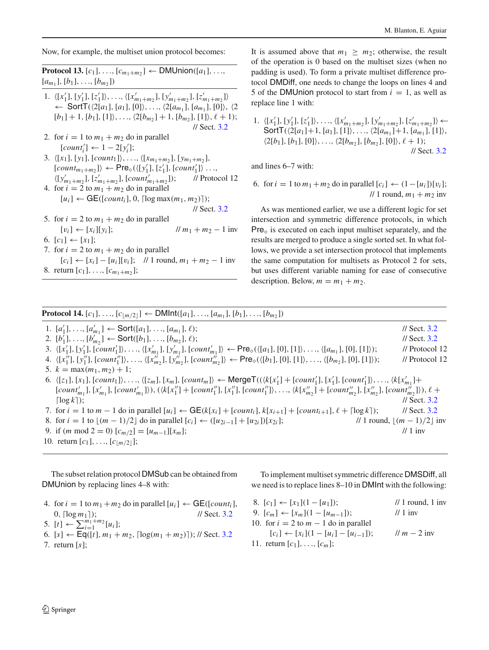Now, for example, the multiset union protocol becomes:

**Protocol 13.** [*c*<sub>1</sub>], . . ., [*c*<sub>*m*1+*m*<sub>2</sub></sub>] ← DMUnion([*a*<sub>1</sub>], . . .,  $[a_{m_1}], [b_1], \ldots, [b_{m_2}])$ 

- 1.  $\langle [x'_1], [y'_1], [z'_1] \rangle, \ldots, \langle [x'_{m_1+m_2}], [y'_{m_1+m_2}], [z'_{m_1+m_2}] \rangle$ ← SortT( $\langle 2[a_1], [a_1], [0] \rangle$ , ...,  $\langle 2[a_{m_1}], [a_{m_1}], [0] \rangle$ ,  $\langle 2$  $[b_1] + 1$ ,  $[b_1]$ ,  $[1]$ , ...,  $\langle 2[b_{m_2}] + 1, [b_{m_2}], [1] \rangle, \ell + 1);$ // Sect. [3.2](#page-4-0)
- 2. for  $i = 1$  to  $m_1 + m_2$  do in parallel  $[count'_i] \leftarrow 1 - 2[y'_i];$
- 3.  $\langle [x_1], [y_1], [count_1] \rangle, \ldots, \langle [x_{m_1+m_2}], [y_{m_1+m_2}],$  $[count_{m_1+m_2}] \rangle \leftarrow \textsf{Pre}_{\diamond}(\langle [y'_1], [z'_1], [count'_1] \rangle \dots,$  $\{[\mathbf{y}'_{m_1+m_2}], [\mathbf{z}'_{m_1+m_2}], [\textit{count}'_{m_1+m_2}]\}$ // Protocol 12
- 4. for  $i = 2$  to  $m_1 + m_2$  do in parallel  $[u_i] \leftarrow \text{GE}([count_i], 0, [\log \max(m_1, m_2)]);$ // Sect. [3.2](#page-4-0) 5. for  $i = 2$  to  $m_1 + m_2$  do in parallel
- $[v_i] \leftarrow [x_i][y_i];$  //  $m_1 + m_2 1$  inv 6. [*c*1]←[*x*1]; 7. for  $i = 2$  to  $m_1 + m_2$  do in parallel [*ci*]←[*xi*]−[*ui*][v*i*]; // 1 round, *m*<sup>1</sup> + *m*<sup>2</sup> − 1 inv

8. return  $[c_1], \ldots, [c_{m_1+m_2}];$ 

It is assumed above that  $m_1 \geq m_2$ ; otherwise, the result of the operation is 0 based on the multiset sizes (when no padding is used). To form a private multiset difference protocol DMDiff, one needs to change the loops on lines 4 and 5 of the DMUnion protocol to start from  $i = 1$ , as well as replace line 1 with:

1. 
$$
\langle [x'_1], [y'_1], [z'_1] \rangle, \dots, \langle [x'_{m_1+m_2}], [y'_{m_1+m_2}], [z'_{m_1+m_2}] \rangle \leftarrow
$$
  
\nSortT( $\langle 2[a_1]+1, [a_1], [1] \rangle, \dots, \langle 2[a_{m_1}]+1, [a_{m_1}], [1] \rangle, \langle 2[b_1], [b_1], [0] \rangle, \dots, \langle 2[b_{m_2}], [b_{m_2}], [0] \rangle, \ell + 1;$   
\n// Sect. 3.2

and lines 6–7 with:

6. for *i* = 1 to  $m_1 + m_2$  do in parallel  $[c_i]$  ←  $(1 - [u_i])[v_i]$ ; // 1 round,  $m_1 + m_2$  inv

As was mentioned earlier, we use a different logic for set intersection and symmetric difference protocols, in which  $Pre<sub>o</sub>$  is executed on each input multiset separately, and the results are merged to produce a single sorted set. In what follows, we provide a set intersection protocol that implements the same computation for multisets as Protocol 2 for sets, but uses different variable naming for ease of consecutive description. Below,  $m = m_1 + m_2$ .

| <b>Protocol 14.</b> $[c_1], \ldots, [c_{ m/2 }] \leftarrow \text{DMInt}([a_1], \ldots, [a_{m_1}], [b_1], \ldots, [b_{m_2}])$                                                                                                                     |                                           |
|--------------------------------------------------------------------------------------------------------------------------------------------------------------------------------------------------------------------------------------------------|-------------------------------------------|
| 1. $[a'_1], \ldots, [a'_{m_1}] \leftarrow \text{Sort}([a_1], \ldots, [a_{m_1}], \ell);$                                                                                                                                                          | $\frac{\textit{II} \text{ Sect.}}{3.2}$   |
| 2. $[b'_1], \ldots, [b'_m] \leftarrow \text{Sort}([b_1], \ldots, [b_m], \ell);$                                                                                                                                                                  | $\frac{\textit{1}}{\text{Sect. }3.2}$     |
| 3. $\langle [x'_1], [y'_1], [count'_1] \rangle, \ldots, \langle [x'_{m_1}], [y'_{m_1}], [count'_{m_1}] \rangle \leftarrow \text{Pre}_{\diamond}(\langle [a_1], [0], [1] \rangle, \ldots, \langle [a_{m_1}], [0], [1] \rangle);$                  | $\frac{1}{2}$ Protocol 12                 |
| 4. $\langle [x_1''], [y_1''], [count_1''] \rangle, \ldots, \langle [x_{m_2}''], [y_{m_2}''], [count_{m_2}''] \rangle \leftarrow \text{Pre}_{\diamond}(\langle [b_1], [0], [1] \rangle, \ldots, \langle [b_{m_2}], [0], [1] \rangle);$            | $\frac{1}{2}$ Protocol 12                 |
| 5. $k = \max(m_1, m_2) + 1$ ;                                                                                                                                                                                                                    |                                           |
| 6. $\langle [z_1], [x_1], [count_1] \rangle, \ldots, \langle [z_m], [x_m], [count_m] \rangle \leftarrow \text{MergeT}(\langle \langle k[x'_1] + [count'_1], [x'_1], [count'_1] \rangle, \ldots, \langle k[x'_m] + [count'_m], [num'_m] \rangle)$ |                                           |
| $[count'_{m_1}]$ , $[x'_{m_1}]$ , $[count'_{m_1}]$ )), $(\langle k[x''_1] + [count''_1], [x''_1], [count''_1] \rangle, , \langle k[x''_{m_2}] + [count''_{m_2}], [x''_{m_2}], [count''_{m_2}] \rangle)$ , $\ell +$                               |                                           |
| $\lceil \log k \rceil$ );                                                                                                                                                                                                                        | $\frac{\textit{1}}{\text{Sect. }3.2}$     |
| 7. for $i = 1$ to $m - 1$ do in parallel $[u_i] \leftarrow \text{GE}(k[x_i] + [count_i], k[x_{i+1}] + [count_{i+1}], \ell + [\log k])$ ;                                                                                                         | $\frac{\textit{1}}{\text{Sect.}}$ 3.2     |
| 8. for $i = 1$ to $\lfloor (m-1)/2 \rfloor$ do in parallel $[c_i] \leftarrow (\lfloor u_{2i-1} \rfloor + \lfloor u_{2i} \rfloor) [x_{2i}]$ ;                                                                                                     | // 1 round, $\lfloor (m-1)/2 \rfloor$ inv |
| 9. if $(m \mod 2 = 0)$ $[c_{m/2}] = [u_{m-1}][x_m]$ ;                                                                                                                                                                                            | $//$ 1 inv                                |
| 10. return $[c_1], \ldots, [c_{ m/2 }];$                                                                                                                                                                                                         |                                           |

The subset relation protocol DMSub can be obtained from DMUnion by replacing lines 4–8 with:

4. for  $i = 1$  to  $m_1 + m_2$  do in parallel  $[u_i] \leftarrow \text{GE}([count_i],$ <br>0,  $\lceil \log m_1 \rceil)$ ; // Sect. 3.2 0,  $\lceil \log m_1 \rceil$ ;

5. 
$$
[t] \leftarrow \sum_{i=1}^{m_1+m_2} [u_i];
$$

- 6.  $[s] \leftarrow \textsf{Eq}([t], m_1 + m_2, \lceil \log(m_1 + m_2) \rceil)$ ; // Sect. [3.2](#page-4-0)
- 7. return [*s*];

To implement multiset symmetric difference DMSDiff, all we need is to replace lines 8–10 in DMInt with the following:

8.  $[c_1] \leftarrow [x_1](1 - [u_1])$ ; // 1 round, 1 inv 9.  $[c_m] \leftarrow [x_m](1 - [u_{m-1}])$ ; // 1 inv 10. for  $i = 2$  to  $m - 1$  do in parallel  $[c_i] \leftarrow [x_i](1 - [u_i] - [u_{i-1}])$ ; // *m* − 2 inv 11. return  $[c_1], \ldots, [c_m];$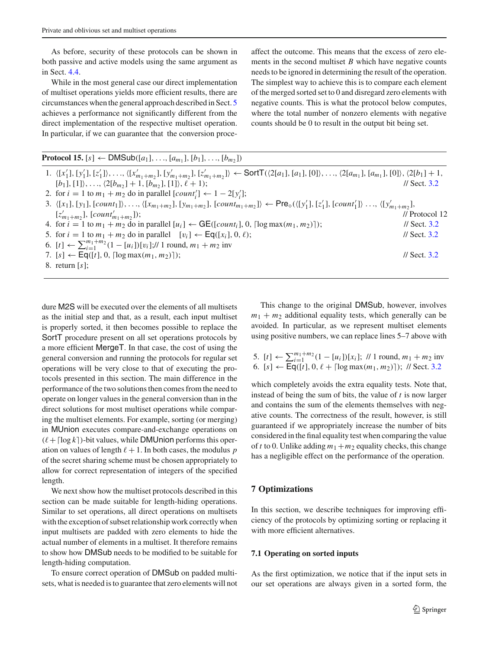As before, security of these protocols can be shown in both passive and active models using the same argument as in Sect. [4.4.](#page-11-0)

While in the most general case our direct implementation of multiset operations yields more efficient results, there are circumstances when the general approach described in Sect. [5](#page-13-0) achieves a performance not significantly different from the direct implementation of the respective multiset operation. In particular, if we can guarantee that the conversion proce-

affect the outcome. This means that the excess of zero elements in the second multiset *B* which have negative counts needs to be ignored in determining the result of the operation. The simplest way to achieve this is to compare each element of the merged sorted set to 0 and disregard zero elements with negative counts. This is what the protocol below computes, where the total number of nonzero elements with negative counts should be 0 to result in the output bit being set.

| <b>Protocol 15.</b> [ <i>s</i> ] ← DMSub([ <i>a</i> <sub>1</sub> ], , [ <i>a</i> <sub><i>m</i><sub>1</sub></sub> ], [ <i>b</i> <sub>1</sub> ], , [ <i>b</i> <sub><i>m</i><sub>2</sub></sub> ])                                                          |                                                            |
|---------------------------------------------------------------------------------------------------------------------------------------------------------------------------------------------------------------------------------------------------------|------------------------------------------------------------|
| 1. $\langle [x'_1], [y'_1], [z'_1] \rangle, \ldots, \langle [x'_{m_1+m_2}], [y'_{m_1+m_2}], [z'_{m_1+m_2}] \rangle \leftarrow \text{SortT}(\langle 2[a_1], [a_1], [0] \rangle, \ldots, \langle 2[a_{m_1}], [a_{m_1}], [0] \rangle, \langle 2[b_1] + 1,$ |                                                            |
| $[b_1], [1], \ldots, \langle 2[b_{m_2}] + 1, [b_{m_2}], [1], \ell + 1);$                                                                                                                                                                                | $\frac{\textit{II} \text{ Sect. 3.2}}{\textit{1}}$         |
| 2. for $i = 1$ to $m_1 + m_2$ do in parallel $[count'_i] \leftarrow 1 - 2[y'_i]$ ;                                                                                                                                                                      |                                                            |
| 3. $\langle [x_1], [y_1], [count_1] \rangle, \ldots, \langle [x_{m_1+m_2}], [y_{m_1+m_2}], [count_{m_1+m_2}] \rangle$ $\leftarrow$ Pre $\langle \langle [y'_1], [z'_1], [count'_1] \rangle, \ldots, \langle [y'_{m_1+m_2}], [x_{m_1+m_2}],$             |                                                            |
| $[z'_{m_1+m_2}], [count'_{m_1+m_2}];$                                                                                                                                                                                                                   | $\frac{1}{2}$ Protocol 12                                  |
| 4. for $i = 1$ to $m_1 + m_2$ do in parallel $[u_i] \leftarrow \text{GE}([count_i], 0, \lceil \log \max(m_1, m_2) \rceil);$                                                                                                                             | $\frac{\textit{1}}{\text{Sect.}}$ 3.2                      |
| 5. for $i = 1$ to $m_1 + m_2$ do in parallel $[v_i] \leftarrow \textsf{Eq}([x_i], 0, \ell);$                                                                                                                                                            | $\frac{\textit{II} \text{ Sect. } 3.2 \text{ }}{\text{I}}$ |
| 6. $[t] \leftarrow \sum_{i=1}^{m_1+m_2} (1 - [u_i]) [v_i]; / / 1$ round, $m_1 + m_2$ inv                                                                                                                                                                |                                                            |
| 7. $[s] \leftarrow \textsf{Eq}([t], 0, \lceil \log \max(m_1, m_2) \rceil);$                                                                                                                                                                             | $\frac{\textit{II} \text{ Sect.}}{3.2}$                    |
| 8. return $[s]$ :                                                                                                                                                                                                                                       |                                                            |

dure M2S will be executed over the elements of all multisets as the initial step and that, as a result, each input multiset is properly sorted, it then becomes possible to replace the SortT procedure present on all set operations protocols by a more efficient MergeT. In that case, the cost of using the general conversion and running the protocols for regular set operations will be very close to that of executing the protocols presented in this section. The main difference in the performance of the two solutions then comes from the need to operate on longer values in the general conversion than in the direct solutions for most multiset operations while comparing the multiset elements. For example, sorting (or merging) in MUnion executes compare-and-exchange operations on  $(\ell + \lceil \log k \rceil)$ -bit values, while **DMUnion** performs this operation on values of length  $\ell + 1$ . In both cases, the modulus *p* of the secret sharing scheme must be chosen appropriately to allow for correct representation of integers of the specified length.

We next show how the multiset protocols described in this section can be made suitable for length-hiding operations. Similar to set operations, all direct operations on multisets with the exception of subset relationship work correctly when input multisets are padded with zero elements to hide the actual number of elements in a multiset. It therefore remains to show how DMSub needs to be modified to be suitable for length-hiding computation.

To ensure correct operation of DMSub on padded multisets, what is needed is to guarantee that zero elements will not

This change to the original DMSub, however, involves  $m_1 + m_2$  additional equality tests, which generally can be avoided. In particular, as we represent multiset elements using positive numbers, we can replace lines 5–7 above with

5. 
$$
[t] \leftarrow \sum_{i=1}^{m_1+m_2} (1 - [u_i])[x_i]; \; \text{if } 1 \text{ round}, m_1 + m_2 \text{ inv}
$$
  
6.  $[s] \leftarrow \text{Eq}([t], 0, \ell + \lceil \log \max(m_1, m_2) \rceil); \; \text{if } \text{Sect. } 3.2$ 

which completely avoids the extra equality tests. Note that, instead of being the sum of bits, the value of *t* is now larger and contains the sum of the elements themselves with negative counts. The correctness of the result, however, is still guaranteed if we appropriately increase the number of bits considered in the final equality test when comparing the value of *t* to 0. Unlike adding  $m_1 + m_2$  equality checks, this change has a negligible effect on the performance of the operation.

# <span id="page-18-0"></span>**7 Optimizations**

In this section, we describe techniques for improving efficiency of the protocols by optimizing sorting or replacing it with more efficient alternatives.

## **7.1 Operating on sorted inputs**

As the first optimization, we notice that if the input sets in our set operations are always given in a sorted form, the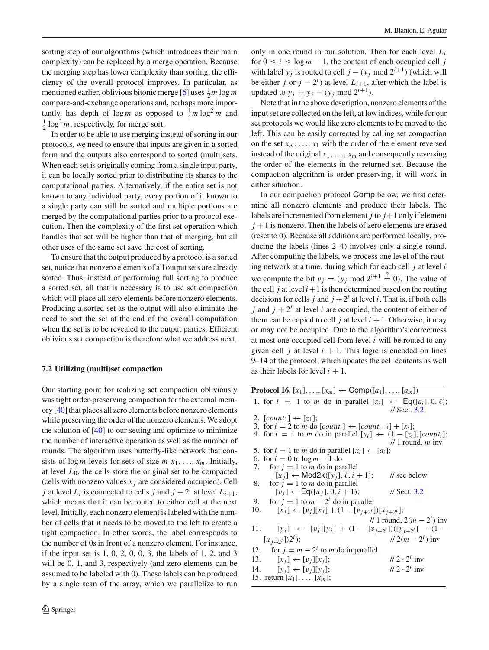sorting step of our algorithms (which introduces their main complexity) can be replaced by a merge operation. Because the merging step has lower complexity than sorting, the efficiency of the overall protocol improves. In particular, as mentioned earlier, oblivious bitonic merge [\[6](#page-24-14)] uses  $\frac{1}{2}m \log m$ compare-and-exchange operations and, perhaps more importantly, has depth of  $\log m$  as opposed to  $\frac{1}{4}m \log^2 m$  and  $\frac{1}{2} \log^2 m$ , respectively, for merge sort.

In order to be able to use merging instead of sorting in our protocols, we need to ensure that inputs are given in a sorted form and the outputs also correspond to sorted (multi)sets. When each set is originally coming from a single input party, it can be locally sorted prior to distributing its shares to the computational parties. Alternatively, if the entire set is not known to any individual party, every portion of it known to a single party can still be sorted and multiple portions are merged by the computational parties prior to a protocol execution. Then the complexity of the first set operation which handles that set will be higher than that of merging, but all other uses of the same set save the cost of sorting.

To ensure that the output produced by a protocol is a sorted set, notice that nonzero elements of all output sets are already sorted. Thus, instead of performing full sorting to produce a sorted set, all that is necessary is to use set compaction which will place all zero elements before nonzero elements. Producing a sorted set as the output will also eliminate the need to sort the set at the end of the overall computation when the set is to be revealed to the output parties. Efficient oblivious set compaction is therefore what we address next.

#### **7.2 Utilizing (multi)set compaction**

Our starting point for realizing set compaction obliviously was tight order-preserving compaction for the external memory [\[40](#page-25-41)] that places all zero elements before nonzero elements while preserving the order of the nonzero elements. We adopt the solution of  $[40]$  to our setting and optimize to minimize the number of interactive operation as well as the number of rounds. The algorithm uses butterfly-like network that consists of  $\log m$  levels for sets of size  $m x_1, \ldots, x_m$ . Initially, at level  $L_0$ , the cells store the original set to be compacted (cells with nonzero values  $x_j$  are considered occupied). Cell *j* at level  $L_i$  is connected to cells *j* and  $j - 2^i$  at level  $L_{i+1}$ , which means that it can be routed to either cell at the next level. Initially, each nonzero element is labeled with the number of cells that it needs to be moved to the left to create a tight compaction. In other words, the label corresponds to the number of 0s in front of a nonzero element. For instance, if the input set is  $1, 0, 2, 0, 0, 3$ , the labels of  $1, 2$ , and  $3$ will be 0, 1, and 3, respectively (and zero elements can be assumed to be labeled with 0). These labels can be produced by a single scan of the array, which we parallelize to run only in one round in our solution. Then for each level *Li* for  $0 \le i \le \log m - 1$ , the content of each occupied cell *j* with label *y<sub>i</sub>* is routed to cell *j* − (*y<sub>i</sub>* mod  $2^{i+1}$ ) (which will be either *j* or  $j - 2^i$ ) at level  $L_{i+1}$ , after which the label is updated to  $y_j = y_j - (y_j \mod 2^{i+1}).$ 

Note that in the above description, nonzero elements of the input set are collected on the left, at low indices, while for our set protocols we would like zero elements to be moved to the left. This can be easily corrected by calling set compaction on the set  $x_m$ , ...,  $x_1$  with the order of the element reversed instead of the original *x*1, . . ., *xm* and consequently reversing the order of the elements in the returned set. Because the compaction algorithm is order preserving, it will work in either situation.

In our compaction protocol Comp below, we first determine all nonzero elements and produce their labels. The labels are incremented from element *j* to  $j+1$  only if element  $j + 1$  is nonzero. Then the labels of zero elements are erased (reset to 0). Because all additions are performed locally, producing the labels (lines 2–4) involves only a single round. After computing the labels, we process one level of the routing network at a time, during which for each cell *j* at level *i* we compute the bit  $v_j = (y_j \text{ mod } 2^{i+1} \stackrel{?}{=} 0)$ . The value of the cell *j* at level  $i + 1$  is then determined based on the routing decisions for cells *j* and  $j + 2<sup>i</sup>$  at level *i*. That is, if both cells *j* and  $j + 2<sup>i</sup>$  at level *i* are occupied, the content of either of them can be copied to cell *j* at level  $i + 1$ . Otherwise, it may or may not be occupied. Due to the algorithm's correctness at most one occupied cell from level *i* will be routed to any given cell *j* at level  $i + 1$ . This logic is encoded on lines 9–14 of the protocol, which updates the cell contents as well as their labels for level  $i + 1$ .

| <b>Protocol 16.</b> [ $x_1$ ], , [ $x_m$ ] ← Comp([ $a_1$ ], , [ $a_m$ ])                |                                                  |
|------------------------------------------------------------------------------------------|--------------------------------------------------|
| 1. for $i = 1$ to m do in parallel $[z_i] \leftarrow \textsf{Eq}([a_i], 0, \ell);$       | $\frac{\textit{II} \text{ Sect.} 3.2}{\text{I}}$ |
| 2. $[count_1] \leftarrow [z_1]$ ;                                                        |                                                  |
| 3. for $i = 2$ to m do $[count_i] \leftarrow [count_{i-1}] + [z_i];$                     |                                                  |
| 4. for $i = 1$ to m do in parallel $[y_i] \leftarrow (1 - [z_i])$ [count <sub>i</sub> ]; | // 1 round, $m$ inv                              |
| 5. for $i = 1$ to m do in parallel $[x_i] \leftarrow [a_i]$ ;                            |                                                  |
| 6. for $i = 0$ to $\log m - 1$ do                                                        |                                                  |
| for $j = 1$ to m do in parallel<br>7.                                                    |                                                  |
| $[u_i] \leftarrow \text{Mod2k}([y_i], \ell, i + 1);$                                     | $\frac{1}{2}$ see below                          |
| for $i = 1$ to <i>m</i> do in parallel<br>8.                                             |                                                  |
| $[v_i] \leftarrow \textsf{Eq}([u_i], 0, i + 1);$                                         | $\frac{\textit{II} \text{ Sect.}}{3.2}$          |
| 9. for $j = 1$ to $m - 2i$ do in parallel                                                |                                                  |
| $[x_j] \leftarrow [v_j][x_j] + (1 - [v_{j+2^i}])[x_{j+2^i}];$<br>10.                     |                                                  |
|                                                                                          | // 1 round, $2(m-2^i)$ inv                       |
| $[y_j] \leftarrow [v_j][y_j] + (1 - [v_{j+2}])([y_{j+2}]) - (1 -$<br>11.                 |                                                  |
| $[u_{i+2^i}]]2^i$ ;                                                                      | // $2(m - 2^{i})$ inv                            |
| for $j = m - 2^i$ to m do in parallel<br>12.                                             |                                                  |
| 13.<br>$[x_j] \leftarrow [v_j][x_j];$                                                    | $1/2 \cdot 2^i$ inv                              |
| 14.<br>$[y_i] \leftarrow [v_j][y_j];$                                                    | $1/2 \cdot 2^i$ inv                              |
| 15. return $[x_1], \ldots, [x_m];$                                                       |                                                  |
|                                                                                          |                                                  |
|                                                                                          |                                                  |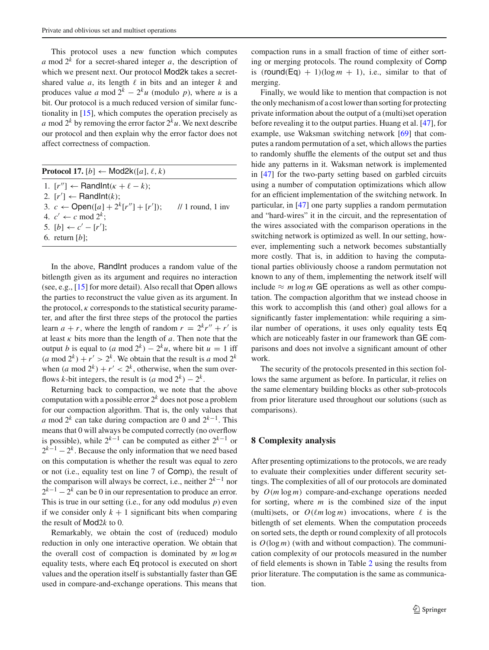This protocol uses a new function which computes *a* mod  $2^k$  for a secret-shared integer *a*, the description of which we present next. Our protocol Mod2k takes a secretshared value  $a$ , its length  $\ell$  in bits and an integer  $k$  and produces value *a* mod  $2^k - 2^k u$  (modulo *p*), where *u* is a bit. Our protocol is a much reduced version of similar functionality in [\[15\]](#page-24-15), which computes the operation precisely as *a* mod  $2^k$  by removing the error factor  $2^k u$ . We next describe our protocol and then explain why the error factor does not affect correctness of compaction.

| <b>Protocol 17.</b> [b] $\leftarrow$ Mod2k([a], $\ell$ , k)                                                                                                                                                                                              |                              |
|----------------------------------------------------------------------------------------------------------------------------------------------------------------------------------------------------------------------------------------------------------|------------------------------|
| 1. $[r''] \leftarrow \text{RandInt}(\kappa + \ell - k);$<br>2. $[r'] \leftarrow \text{RandInt}(k);$<br>3. $c \leftarrow \text{Open}([a] + 2^k[r''] + [r'])$ ;<br>4. $c' \leftarrow c \mod 2^k$ ;<br>5. $[b] \leftarrow c' - [r']$ ;<br>6. return $[b]$ ; | $\frac{\pi}{1}$ round, 1 inv |

In the above, RandInt produces a random value of the bitlength given as its argument and requires no interaction (see, e.g., [\[15\]](#page-24-15) for more detail). Also recall that Open allows the parties to reconstruct the value given as its argument. In the protocol,  $\kappa$  corresponds to the statistical security parameter, and after the first three steps of the protocol the parties learn  $a + r$ , where the length of random  $r = 2^k r'' + r'$  is at least  $\kappa$  bits more than the length of  $a$ . Then note that the output *b* is equal to  $(a \mod 2^k) - 2^k u$ , where bit  $u = 1$  iff  $(a \mod 2^k) + r' > 2^k$ . We obtain that the result is a mod  $2^k$ when  $(a \mod 2^k) + r' < 2^k$ , otherwise, when the sum overflows *k*-bit integers, the result is  $(a \mod 2^k) - 2^k$ .

Returning back to compaction, we note that the above computation with a possible error  $2^k$  does not pose a problem for our compaction algorithm. That is, the only values that *a* mod  $2^k$  can take during compaction are 0 and  $2^{k-1}$ . This means that 0 will always be computed correctly (no overflow is possible), while  $2^{k-1}$  can be computed as either  $2^{k-1}$  or  $2^{k-1} - 2^k$ . Because the only information that we need based on this computation is whether the result was equal to zero or not (i.e., equality test on line 7 of Comp), the result of the comparison will always be correct, i.e., neither  $2^{k-1}$  nor  $2^{k-1} - 2^k$  can be 0 in our representation to produce an error. This is true in our setting (i.e., for any odd modulus *p*) even if we consider only  $k + 1$  significant bits when comparing the result of Mod2*k* to 0.

Remarkably, we obtain the cost of (reduced) modulo reduction in only one interactive operation. We obtain that the overall cost of compaction is dominated by *m* log *m* equality tests, where each Eq protocol is executed on short values and the operation itself is substantially faster than GE used in compare-and-exchange operations. This means that

compaction runs in a small fraction of time of either sorting or merging protocols. The round complexity of Comp is (round(Eq) + 1)( $\log m + 1$ ), i.e., similar to that of merging.

Finally, we would like to mention that compaction is not the only mechanism of a cost lower than sorting for protecting private information about the output of a (multi)set operation before revealing it to the output parties. Huang et al. [\[47\]](#page-25-20), for example, use Waksman switching network [\[69\]](#page-25-42) that computes a random permutation of a set, which allows the parties to randomly shuffle the elements of the output set and thus hide any patterns in it. Waksman network is implemented in [\[47\]](#page-25-20) for the two-party setting based on garbled circuits using a number of computation optimizations which allow for an efficient implementation of the switching network. In particular, in [\[47](#page-25-20)] one party supplies a random permutation and "hard-wires" it in the circuit, and the representation of the wires associated with the comparison operations in the switching network is optimized as well. In our setting, however, implementing such a network becomes substantially more costly. That is, in addition to having the computational parties obliviously choose a random permutation not known to any of them, implementing the network itself will include  $≈ m log m$  GE operations as well as other computation. The compaction algorithm that we instead choose in this work to accomplish this (and other) goal allows for a significantly faster implementation: while requiring a similar number of operations, it uses only equality tests Eq which are noticeably faster in our framework than GE comparisons and does not involve a significant amount of other work.

The security of the protocols presented in this section follows the same argument as before. In particular, it relies on the same elementary building blocks as other sub-protocols from prior literature used throughout our solutions (such as comparisons).

### **8 Complexity analysis**

After presenting optimizations to the protocols, we are ready to evaluate their complexities under different security settings. The complexities of all of our protocols are dominated by *O*(*m* log *m*) compare-and-exchange operations needed for sorting, where *m* is the combined size of the input (multi)sets, or  $O(\ell m \log m)$  invocations, where  $\ell$  is the bitlength of set elements. When the computation proceeds on sorted sets, the depth or round complexity of all protocols is  $O(log m)$  (with and without compaction). The communication complexity of our protocols measured in the number of field elements is shown in Table [2](#page-21-0) using the results from prior literature. The computation is the same as communication.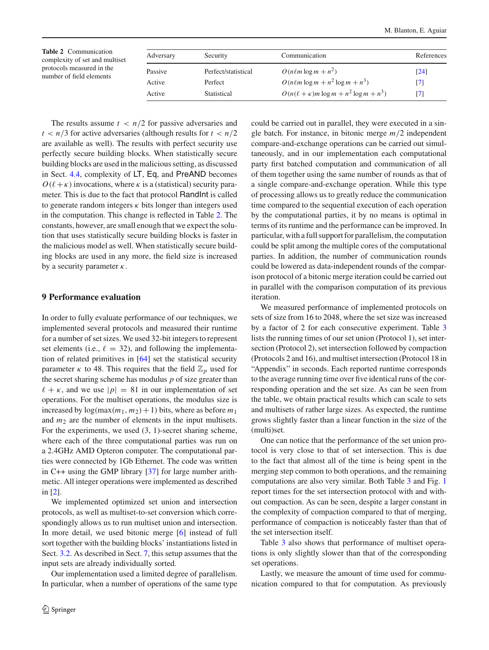<span id="page-21-0"></span>**Table 2** Communication complexity of set and multiset protocols measured in the number of field elements

| Adversary | Security            | Communication                                    | References         |
|-----------|---------------------|--------------------------------------------------|--------------------|
| Passive   | Perfect/statistical | $O(n \ell m \log m + n^2)$                       | $\lceil 24 \rceil$ |
| Active    | Perfect             | $O(n\ell m \log m + n^2 \log m + n^3)$           |                    |
| Active    | Statistical         | $O(n(\ell + \kappa)m \log m + n^2 \log m + n^3)$ | 171                |

The results assume  $t < n/2$  for passive adversaries and  $t < n/3$  for active adversaries (although results for  $t < n/2$ are available as well). The results with perfect security use perfectly secure building blocks. When statistically secure building blocks are used in the malicious setting, as discussed in Sect. [4.4,](#page-11-0) complexity of LT, Eq, and PreAND becomes  $O(\ell + \kappa)$  invocations, where  $\kappa$  is a (statistical) security parameter. This is due to the fact that protocol RandInt is called to generate random integers  $\kappa$  bits longer than integers used in the computation. This change is reflected in Table [2.](#page-21-0) The constants, however, are small enough that we expect the solution that uses statistically secure building blocks is faster in the malicious model as well. When statistically secure building blocks are used in any more, the field size is increased by a security parameter  $\kappa$ .

# **9 Performance evaluation**

In order to fully evaluate performance of our techniques, we implemented several protocols and measured their runtime for a number of set sizes. We used 32-bit integers to represent set elements (i.e.,  $\ell = 32$ ), and following the implementation of related primitives in [\[64\]](#page-25-43) set the statistical security parameter  $\kappa$  to 48. This requires that the field  $\mathbb{Z}_p$  used for the secret sharing scheme has modulus *p* of size greater than  $\ell + \kappa$ , and we use  $|p| = 81$  in our implementation of set operations. For the multiset operations, the modulus size is increased by  $log(max(m_1, m_2) + 1)$  bits, where as before  $m_1$ and *m*<sup>2</sup> are the number of elements in the input multisets. For the experiments, we used (3, 1)-secret sharing scheme, where each of the three computational parties was run on a 2.4GHz AMD Opteron computer. The computational parties were connected by 1Gb Ethernet. The code was written in C++ using the GMP library [\[37](#page-25-44)] for large number arithmetic. All integer operations were implemented as described in [\[2\]](#page-24-24).

We implemented optimized set union and intersection protocols, as well as multiset-to-set conversion which correspondingly allows us to run multiset union and intersection. In more detail, we used bitonic merge [\[6](#page-24-14)] instead of full sort together with the building blocks' instantiations listed in Sect. [3.2.](#page-4-0) As described in Sect. [7,](#page-18-0) this setup assumes that the input sets are already individually sorted.

Our implementation used a limited degree of parallelism. In particular, when a number of operations of the same type could be carried out in parallel, they were executed in a single batch. For instance, in bitonic merge *m*/2 independent compare-and-exchange operations can be carried out simultaneously, and in our implementation each computational party first batched computation and communication of all of them together using the same number of rounds as that of a single compare-and-exchange operation. While this type of processing allows us to greatly reduce the communication time compared to the sequential execution of each operation by the computational parties, it by no means is optimal in terms of its runtime and the performance can be improved. In particular, with a full support for parallelism, the computation could be split among the multiple cores of the computational parties. In addition, the number of communication rounds could be lowered as data-independent rounds of the comparison protocol of a bitonic merge iteration could be carried out in parallel with the comparison computation of its previous iteration.

We measured performance of implemented protocols on sets of size from 16 to 2048, where the set size was increased by a factor of 2 for each consecutive experiment. Table [3](#page-22-0) lists the running times of our set union (Protocol 1), set intersection (Protocol 2), set intersection followed by compaction (Protocols 2 and 16), and multiset intersection (Protocol 18 in "Appendix" in seconds. Each reported runtime corresponds to the average running time over five identical runs of the corresponding operation and the set size. As can be seen from the table, we obtain practical results which can scale to sets and multisets of rather large sizes. As expected, the runtime grows slightly faster than a linear function in the size of the (multi)set.

One can notice that the performance of the set union protocol is very close to that of set intersection. This is due to the fact that almost all of the time is being spent in the merging step common to both operations, and the remaining computations are also very similar. Both Table [3](#page-22-0) and Fig. [1](#page-22-1) report times for the set intersection protocol with and without compaction. As can be seen, despite a larger constant in the complexity of compaction compared to that of merging, performance of compaction is noticeably faster than that of the set intersection itself.

Table [3](#page-22-0) also shows that performance of multiset operations is only slightly slower than that of the corresponding set operations.

Lastly, we measure the amount of time used for communication compared to that for computation. As previously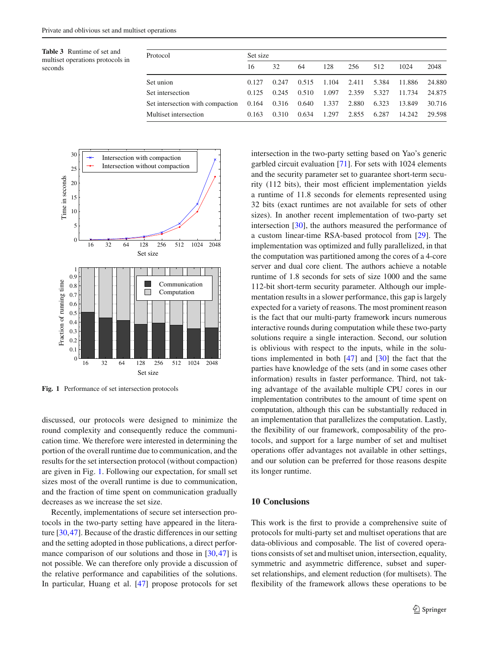<span id="page-22-0"></span>**Table 3** Runtime of set and multiset operations protocols in seconds

| Protocol                         | Set size |       |       |       |       |       |        |        |
|----------------------------------|----------|-------|-------|-------|-------|-------|--------|--------|
|                                  | 16       | 32    | 64    | 128   | 256   | 512   | 1024   | 2048   |
| Set union                        | 0.127    | 0.247 | 0.515 | 1.104 | 2.411 | 5.384 | 11.886 | 24.880 |
| Set intersection                 | 0.125    | 0.245 | 0.510 | 1.097 | 2.359 | 5.327 | 11.734 | 24.875 |
| Set intersection with compaction | 0.164    | 0.316 | 0.640 | 1.337 | 2.880 | 6.323 | 13.849 | 30.716 |
| Multiset intersection            | 0.163    | 0.310 | 0.634 | 1.297 | 2.855 | 6.287 | 14.242 | 29.598 |



<span id="page-22-1"></span>**Fig. 1** Performance of set intersection protocols

discussed, our protocols were designed to minimize the round complexity and consequently reduce the communication time. We therefore were interested in determining the portion of the overall runtime due to communication, and the results for the set intersection protocol (without compaction) are given in Fig. [1.](#page-22-1) Following our expectation, for small set sizes most of the overall runtime is due to communication, and the fraction of time spent on communication gradually decreases as we increase the set size.

Recently, implementations of secure set intersection protocols in the two-party setting have appeared in the literature [\[30](#page-25-21)[,47](#page-25-20)]. Because of the drastic differences in our setting and the setting adopted in those publications, a direct perfor-mance comparison of our solutions and those in [\[30](#page-25-21)[,47](#page-25-20)] is not possible. We can therefore only provide a discussion of the relative performance and capabilities of the solutions. In particular, Huang et al. [\[47\]](#page-25-20) propose protocols for set intersection in the two-party setting based on Yao's generic garbled circuit evaluation [\[71\]](#page-25-45). For sets with 1024 elements and the security parameter set to guarantee short-term security (112 bits), their most efficient implementation yields a runtime of 11.8 seconds for elements represented using 32 bits (exact runtimes are not available for sets of other sizes). In another recent implementation of two-party set intersection [\[30](#page-25-21)], the authors measured the performance of a custom linear-time RSA-based protocol from [\[29\]](#page-25-0). The implementation was optimized and fully parallelized, in that the computation was partitioned among the cores of a 4-core server and dual core client. The authors achieve a notable runtime of 1.8 seconds for sets of size 1000 and the same 112-bit short-term security parameter. Although our implementation results in a slower performance, this gap is largely expected for a variety of reasons. The most prominent reason is the fact that our multi-party framework incurs numerous interactive rounds during computation while these two-party solutions require a single interaction. Second, our solution is oblivious with respect to the inputs, while in the solutions implemented in both [\[47](#page-25-20)] and [\[30](#page-25-21)] the fact that the parties have knowledge of the sets (and in some cases other information) results in faster performance. Third, not taking advantage of the available multiple CPU cores in our implementation contributes to the amount of time spent on computation, although this can be substantially reduced in an implementation that parallelizes the computation. Lastly, the flexibility of our framework, composability of the protocols, and support for a large number of set and multiset operations offer advantages not available in other settings, and our solution can be preferred for those reasons despite its longer runtime.

# **10 Conclusions**

This work is the first to provide a comprehensive suite of protocols for multi-party set and multiset operations that are data-oblivious and composable. The list of covered operations consists of set and multiset union, intersection, equality, symmetric and asymmetric difference, subset and superset relationships, and element reduction (for multisets). The flexibility of the framework allows these operations to be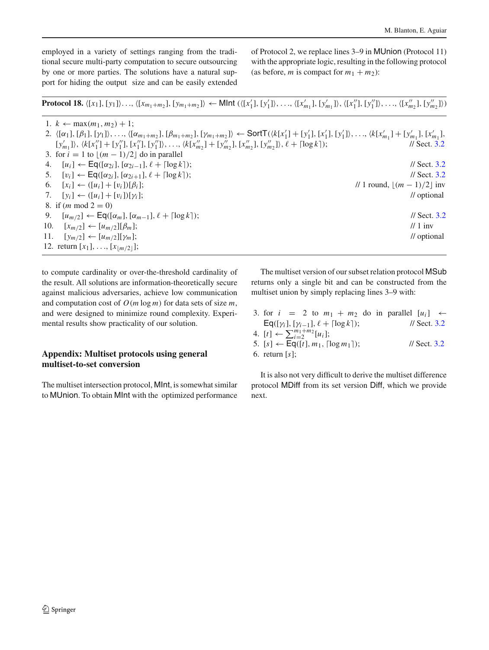employed in a variety of settings ranging from the traditional secure multi-party computation to secure outsourcing by one or more parties. The solutions have a natural support for hiding the output size and can be easily extended of Protocol 2, we replace lines 3–9 in MUnion (Protocol 11) with the appropriate logic, resulting in the following protocol (as before, *m* is compact for  $m_1 + m_2$ ):

**Protocol 18.**  $\langle [x_1], [y_1] \rangle$ ...,  $\langle [x_{m_1+m_2}], [y_{m_1+m_2}] \rangle \leftarrow \text{MInt } (\langle [x'_1], [y'_1] \rangle, \dots, \langle [x'_{m_1}], [y'_{m_1}] \rangle, \langle [x''_1], [y''_1] \rangle, \dots, \langle [x''_{m_2}], [y''_{m_2}] \rangle)$ 

1.  $k \leftarrow \max(m_1, m_2) + 1;$ 2.  $\langle [\alpha_1], [\beta_1], [\gamma_1] \rangle, \ldots, \langle [\alpha_{m_1+m_2}], [\beta_{m_1+m_2}], [\gamma_{m_1+m_2}] \rangle \leftarrow \text{SortT}(\langle k[x'_1] + [y'_1], [x'_1], [y'_1] \rangle, \ldots, \langle k[x'_{m_1}] + [y'_{m_1}], [x'_{m_1}], \ldots, \langle k[x'_{m_{m-1}}] \rangle \right)$  $[y'_{m_1}]$ ,  $\langle k[x''_1] + [y''_1], [x''_1], [y''_1] \rangle, \ldots, \langle k[x''_{m_2}] + [y''_{m_2}], [x''_{m_2}], [y''_{m_2}] \rangle, \ell + \lceil \log k \rceil);$  // Sect. [3.2](#page-4-0) 3. for  $i = 1$  to  $\lfloor (m - 1)/2 \rfloor$  do in parallel<br>4.  $\lfloor u_i \rfloor \leftarrow \textsf{Eq}(\lceil \alpha_{2i} \rceil, \lceil \alpha_{2i-1} \rceil, \ell + \lceil \log k \rceil)$ 4.  $[u_i] \leftarrow Eq([a_{2i}], [a_{2i-1}], \ell + \lceil \log k \rceil);$  // Sect. [3.2](#page-4-0) 5.  $[v_i] \leftarrow Eq([a_{2i}], [a_{2i+1}], \ell + \lceil \log k \rceil);$  // Sect. [3.2](#page-4-0) 6.  $[x_i] \leftarrow ([u_i] + [v_i])[\beta_i];$ <br>
7.  $[y_i] \leftarrow ([u_i] + [v_i])[\gamma_i];$  // 1 round,  $[(m-1)/2]$  inv<br> *|*/ 0 potional 7.  $[y_i] \leftarrow ([u_i] + [v_i])[\gamma_i];$ 8. if  $(m \mod 2 = 0)$ 9.  $[u_{m/2}]$  ← Eq([ $\alpha_m$ ], [ $\alpha_{m-1}$ ],  $\ell$  + [log  $k$ ]); // Sect. [3.2](#page-4-0) 10.  $[x_{m/2}] \leftarrow [u_{m/2}][\beta_m];$  // 1 inv<br>
11.  $[y_{m/2}] \leftarrow [u_{m/2}][\gamma_m];$  // optional 11.  $[y_{m/2}] \leftarrow [u_{m/2}][\gamma_m];$ 12. return  $[x_1], \ldots, [x_{|m/2|}];$ 

to compute cardinality or over-the-threshold cardinality of the result. All solutions are information-theoretically secure against malicious adversaries, achieve low communication and computation cost of *O*(*m* log *m*) for data sets of size *m*, and were designed to minimize round complexity. Experimental results show practicality of our solution.

# **Appendix: Multiset protocols using general multiset-to-set conversion**

The multiset intersection protocol, MInt, is somewhat similar to MUnion. To obtain MInt with the optimized performance

The multiset version of our subset relation protocol MSub returns only a single bit and can be constructed from the multiset union by simply replacing lines 3–9 with:

| 3. for $i = 2$ to $m_1 + m_2$ do in parallel $[u_i] \leftarrow$         |                |
|-------------------------------------------------------------------------|----------------|
| $\mathsf{Eq}([\gamma_i], [\gamma_{i-1}], \ell + \lceil \log k \rceil);$ | // Sect. $3.2$ |
| 4. $[t] \leftarrow \sum_{i=2}^{m_1+m_2} [u_i];$                         |                |
| 5. $[s] \leftarrow \textsf{Eq}([t], m_1, \lceil \log m_1 \rceil);$      | // Sect. $3.2$ |

6. return [*s*];

It is also not very difficult to derive the multiset difference protocol MDiff from its set version Diff, which we provide next.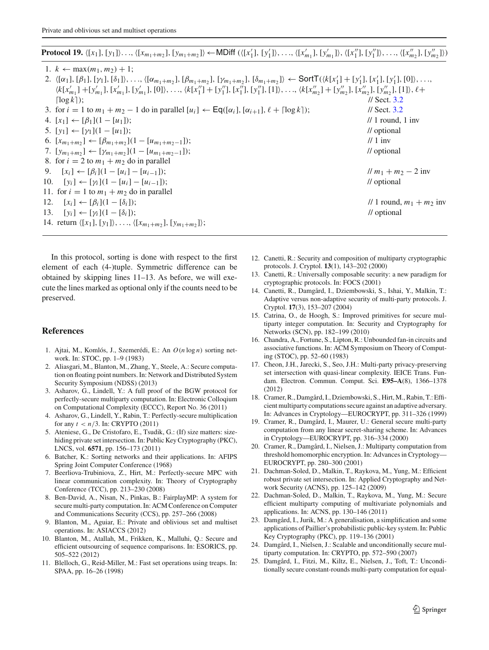# **Protocol 19.**  $\langle [x_1], [y_1] \rangle, \ldots, \langle [x_{m_1+m_2}], [y_{m_1+m_2}] \rangle \leftarrow \text{MDiff } (\langle [x'_1], [y'_1] \rangle, \ldots, \langle [x'_{m_1}], [y'_{m_1}] \rangle, \langle [x''_1], [y''_1] \rangle, \ldots, \langle [x''_{m_2}], [y''_{m_2}] \rangle)$

- 1.  $k \leftarrow \max(m_1, m_2) + 1$ ;
- 2.  $\langle [\alpha_1], [\beta_1], [\gamma_1], [\delta_1] \rangle, \ldots, \langle [\alpha_{m_1+m_2}], [\beta_{m_1+m_2}], [\gamma_{m_1+m_2}], [\delta_{m_1+m_2}] \rangle \leftarrow \text{SortT}(\langle k[x'_1] + [y'_1], [x'_1], [y'_1], [0] \rangle, \ldots,$  $\langle k[x'_{m_1}] + [y'_{m_1}], [x'_{m_1}], [y'_{m_1}], [0] \rangle, \ldots, \langle k[x''_1] + [y''_1], [x''_1], [y''_1], [1] \rangle, \ldots, \langle k[x''_{m_2}] + [y''_{m_2}], [x''_{m_2}], [y''_{m_2}], [1] \rangle, \ell+$ log *k*); // Sect. [3.2](#page-4-0) 3. for  $i = 1$  to  $m_1 + m_2 - 1$  do in parallel  $[u_i] \leftarrow \textsf{Eq}([\alpha_i], [\alpha_{i+1}], \ell + \lceil \log k \rceil);$  // Sect. [3.2](#page-4-0) 4.  $[x_1] \leftarrow [\beta_1](1 - [u_1]);$  // 1 round, 1 inv<br>5.  $[y_1] \leftarrow [y_1](1 - [u_1]);$  // optional 5.  $[y_1] \leftarrow [y_1](1 - [u_1])$ ; 6.  $[x_{m_1+m_2}] \leftarrow [\beta_{m_1+m_2}](1 - [u_{m_1+m_2-1}])$ ; // 1 inv<br>7.  $[y_{m_1+m_2}] \leftarrow [y_{m_1+m_2}](1 - [u_{m_1+m_2-1}])$ ; // optional 7.  $[y_{m_1+m_2}] \leftarrow [y_{m_1+m_2}](1 - [u_{m_1+m_2-1}])$ ; 8. for  $i = 2$  to  $m_1 + m_2$  do in parallel<br>9.  $[x_i] \leftarrow [\beta_i](1 - [u_i] - [u_{i-1}])$ : 9.  $[x_i] \leftarrow [\beta_i](1 - [u_i] - [u_{i-1}]);$  // *m*<sub>1</sub> + *m*<sub>2</sub> − 2 inv<br>10.  $[v_i] \leftarrow [v_i](1 - [u_i] - [u_{i-1}]);$  // optional  $[y_i] \leftarrow [y_i](1 - [u_i] - [u_{i-1}]);$ 11. for  $i = 1$  to  $m_1 + m_2$  do in parallel 12.  $[x_i] \leftarrow [\beta_i](1 - [\delta_i])$ ; // 1 round,  $m_1 + m_2$  inv<br>
13.  $[y_i] \leftarrow [y_i](1 - [\delta_i])$ ; // optional  $[y_i] \leftarrow [y_i](1 - [\delta_i])$ ; 14. return  $\langle [x_1], [y_1] \rangle, \ldots, \langle [x_{m_1+m_2}], [y_{m_1+m_2}] \rangle;$

In this protocol, sorting is done with respect to the first element of each (4-)tuple. Symmetric difference can be obtained by skipping lines 11–13. As before, we will execute the lines marked as optional only if the counts need to be preserved.

# **References**

- <span id="page-24-13"></span>1. Ajtai, M., Komlós, J., Szemerédi, E.: An *O*(*n* log *n*) sorting network. In: STOC, pp. 1–9 (1983)
- <span id="page-24-24"></span>2. Aliasgari, M., Blanton, M., Zhang, Y., Steele, A.: Secure computation on floating point numbers. In: Network and Distributed System Security Symposium (NDSS) (2013)
- <span id="page-24-17"></span>3. Asharov, G., Lindell, Y.: A full proof of the BGW protocol for perfectly-secure multiparty computation. In: Electronic Colloqium on Computational Complexity (ECCC), Report No. 36 (2011)
- <span id="page-24-21"></span>4. Asharov, G., Lindell, Y., Rabin, T.: Perfectly-secure multiplication for any *t* < *n*/3. In: CRYPTO (2011)
- <span id="page-24-0"></span>5. Ateniese, G., De Cristofaro, E., Tsudik, G.: (If) size matters: sizehiding private set intersection. In: Public Key Cryptography (PKC), LNCS, vol. **6571**, pp. 156–173 (2011)
- <span id="page-24-14"></span>6. Batcher, K.: Sorting networks and their applications. In: AFIPS Spring Joint Computer Conference (1968)
- <span id="page-24-11"></span>7. Beerliova-Trubiniova, Z., Hirt, M.: Perfectly-secure MPC with linear communication complexity. In: Theory of Cryptography Conference (TCC), pp. 213–230 (2008)
- <span id="page-24-5"></span>8. Ben-David, A., Nisan, N., Pinkas, B.: FairplayMP: A system for secure multi-party computation. In: ACM Conference on Computer and Communications Security (CCS), pp. 257–266 (2008)
- <span id="page-24-2"></span>9. Blanton, M., Aguiar, E.: Private and oblivious set and multiset operations. In: ASIACCS (2012)
- <span id="page-24-1"></span>10. Blanton, M., Atallah, M., Frikken, K., Malluhi, Q.: Secure and efficient outsourcing of sequence comparisons. In: ESORICS, pp. 505–522 (2012)
- <span id="page-24-9"></span>11. Blelloch, G., Reid-Miller, M.: Fast set operations using treaps. In: SPAA, pp. 16–26 (1998)
- <span id="page-24-18"></span>12. Canetti, R.: Security and composition of multiparty cryptographic protocols. J. Cryptol. **13**(1), 143–202 (2000)
- <span id="page-24-22"></span>13. Canetti, R.: Universally composable security: a new paradigm for cryptographic protocols. In: FOCS (2001)
- <span id="page-24-19"></span>14. Canetti, R., Damgård, I., Dziembowski, S., Ishai, Y., Malkin, T.: Adaptive versus non-adaptive security of multi-party protocols. J. Cryptol. **17**(3), 153–207 (2004)
- <span id="page-24-15"></span>15. Catrina, O., de Hoogh, S.: Improved primitives for secure multiparty integer computation. In: Security and Cryptography for Networks (SCN), pp. 182–199 (2010)
- <span id="page-24-23"></span>16. Chandra, A., Fortune, S., Lipton, R.: Unbounded fan-in circuits and associative functions. In: ACM Symposium on Theory of Computing (STOC), pp. 52–60 (1983)
- <span id="page-24-10"></span>17. Cheon, J.H., Jarecki, S., Seo, J.H.: Multi-party privacy-preserving set intersection with quasi-linear complexity. IEICE Trans. Fundam. Electron. Commun. Comput. Sci. **E95–A**(8), 1366–1378 (2012)
- <span id="page-24-20"></span>18. Cramer, R., Damgård, I., Dziembowski, S., Hirt, M., Rabin, T.: Efficient multiparty computations secure against an adaptive adversary. In: Advances in Cryptology—EUROCRYPT, pp. 311–326 (1999)
- <span id="page-24-6"></span>19. Cramer, R., Damgård, I., Maurer, U.: General secure multi-party computation from any linear secret-sharing scheme. In: Advances in Cryptology—EUROCRYPT, pp. 316–334 (2000)
- <span id="page-24-7"></span>20. Cramer, R., Damgård, I., Nielsen, J.: Multiparty computation from threshold homomorphic encryption. In: Advances in Cryptology— EUROCRYPT, pp. 280–300 (2001)
- <span id="page-24-3"></span>21. Dachman-Soled, D., Malkin, T., Raykova, M., Yung, M.: Efficient robust private set intersection. In: Applied Cryptography and Network Security (ACNS), pp. 125–142 (2009)
- <span id="page-24-4"></span>22. Dachman-Soled, D., Malkin, T., Raykova, M., Yung, M.: Secure efficient multiparty computing of multivariate polynomials and applications. In: ACNS, pp. 130–146 (2011)
- <span id="page-24-8"></span>23. Damgård, I., Jurik, M.: A generalisation, a simplification and some applications of Paillier's probabilistic public-key system. In: Public Key Cryptography (PKC), pp. 119–136 (2001)
- <span id="page-24-12"></span>24. Damgård, I., Nielsen, J.: Scalable and unconditionally secure multiparty computation. In: CRYPTO, pp. 572–590 (2007)
- <span id="page-24-16"></span>25. Damgård, I., Fitzi, M., Kiltz, E., Nielsen, J., Toft, T.: Unconditionally secure constant-rounds multi-party computation for equal-